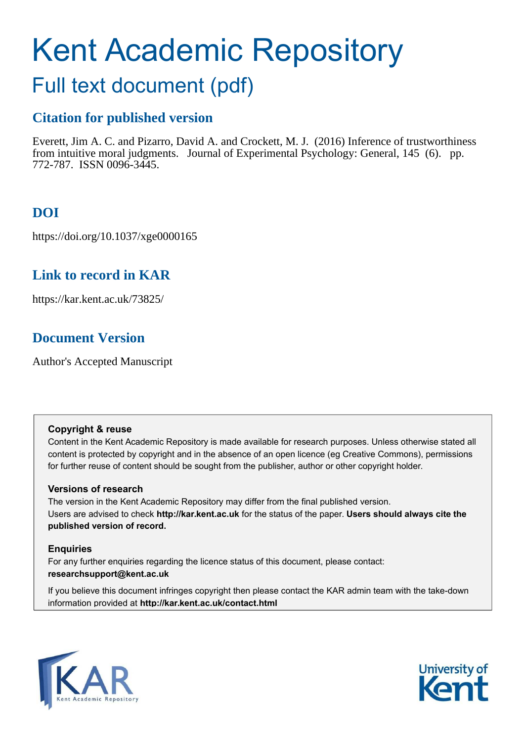# Kent Academic Repository

## Full text document (pdf)

## **Citation for published version**

Everett, Jim A. C. and Pizarro, David A. and Crockett, M. J. (2016) Inference of trustworthiness from intuitive moral judgments. Journal of Experimental Psychology: General, 145 (6). pp. 772-787. ISSN 0096-3445.

## **DOI**

https://doi.org/10.1037/xge0000165

## **Link to record in KAR**

https://kar.kent.ac.uk/73825/

## **Document Version**

Author's Accepted Manuscript

#### **Copyright & reuse**

Content in the Kent Academic Repository is made available for research purposes. Unless otherwise stated all content is protected by copyright and in the absence of an open licence (eg Creative Commons), permissions for further reuse of content should be sought from the publisher, author or other copyright holder.

#### **Versions of research**

The version in the Kent Academic Repository may differ from the final published version. Users are advised to check **http://kar.kent.ac.uk** for the status of the paper. **Users should always cite the published version of record.**

#### **Enquiries**

For any further enquiries regarding the licence status of this document, please contact: **researchsupport@kent.ac.uk**

If you believe this document infringes copyright then please contact the KAR admin team with the take-down information provided at **http://kar.kent.ac.uk/contact.html**



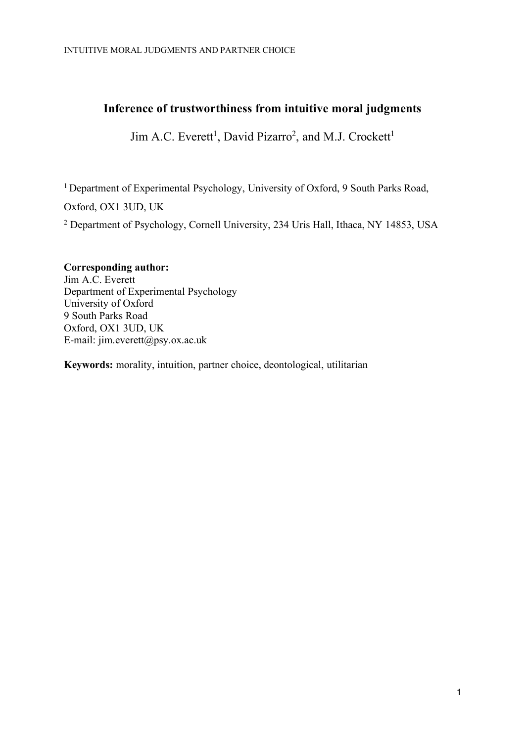### **Inference of trustworthiness from intuitive moral judgments**

Jim A.C. Everett<sup>1</sup>, David Pizarro<sup>2</sup>, and M.J. Crockett<sup>1</sup>

<sup>1</sup> Department of Experimental Psychology, University of Oxford, 9 South Parks Road,

Oxford, OX1 3UD, UK

<sup>2</sup> Department of Psychology, Cornell University, 234 Uris Hall, Ithaca, NY 14853, USA

#### **Corresponding author:**

Jim A.C. Everett Department of Experimental Psychology University of Oxford 9 South Parks Road Oxford, OX1 3UD, UK E-mail: jim.everett@psy.ox.ac.uk

**Keywords:** morality, intuition, partner choice, deontological, utilitarian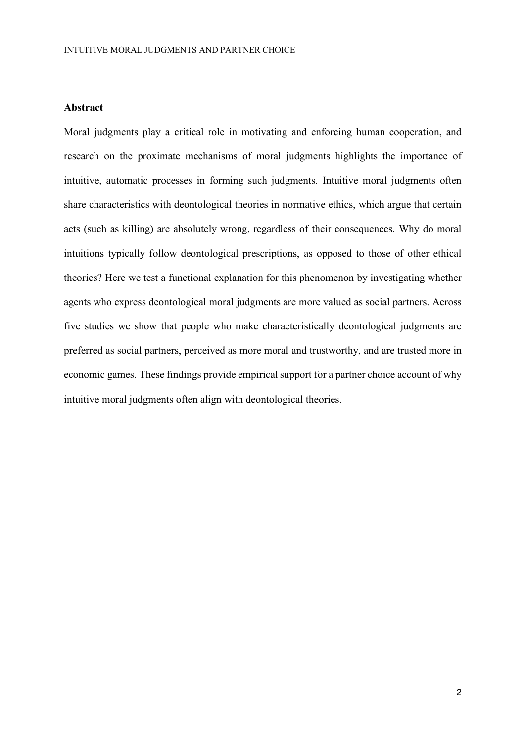#### **Abstract**

Moral judgments play a critical role in motivating and enforcing human cooperation, and research on the proximate mechanisms of moral judgments highlights the importance of intuitive, automatic processes in forming such judgments. Intuitive moral judgments often share characteristics with deontological theories in normative ethics, which argue that certain acts (such as killing) are absolutely wrong, regardless of their consequences. Why do moral intuitions typically follow deontological prescriptions, as opposed to those of other ethical theories? Here we test a functional explanation for this phenomenon by investigating whether agents who express deontological moral judgments are more valued as social partners. Across five studies we show that people who make characteristically deontological judgments are preferred as social partners, perceived as more moral and trustworthy, and are trusted more in economic games. These findings provide empirical support for a partner choice account of why intuitive moral judgments often align with deontological theories.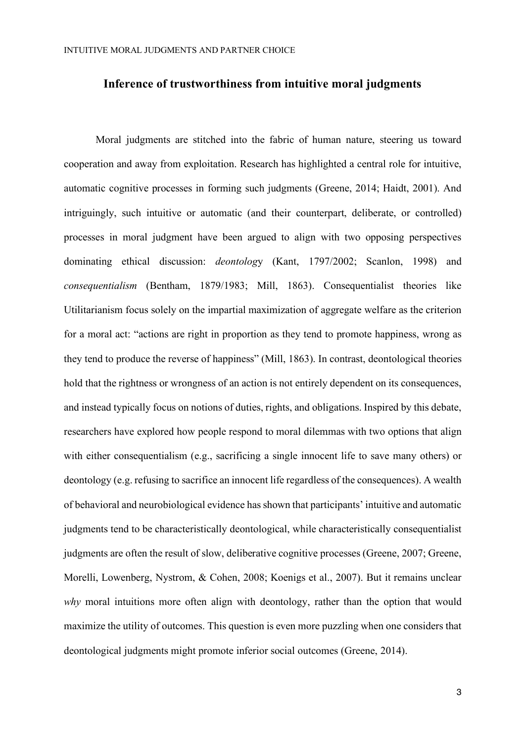#### **Inference of trustworthiness from intuitive moral judgments**

Moral judgments are stitched into the fabric of human nature, steering us toward cooperation and away from exploitation. Research has highlighted a central role for intuitive, automatic cognitive processes in forming such judgments (Greene, 2014; Haidt, 2001). And intriguingly, such intuitive or automatic (and their counterpart, deliberate, or controlled) processes in moral judgment have been argued to align with two opposing perspectives dominating ethical discussion: *deontolog*y (Kant, 1797/2002; Scanlon, 1998) and *consequentialism* (Bentham, 1879/1983; Mill, 1863). Consequentialist theories like Utilitarianism focus solely on the impartial maximization of aggregate welfare as the criterion for a moral act: "actions are right in proportion as they tend to promote happiness, wrong as they tend to produce the reverse of happiness" (Mill, 1863). In contrast, deontological theories hold that the rightness or wrongness of an action is not entirely dependent on its consequences. and instead typically focus on notions of duties, rights, and obligations. Inspired by this debate, researchers have explored how people respond to moral dilemmas with two options that align with either consequentialism (e.g., sacrificing a single innocent life to save many others) or deontology (e.g. refusing to sacrifice an innocent life regardless of the consequences). A wealth of behavioral and neurobiological evidence has shown that participants' intuitive and automatic judgments tend to be characteristically deontological, while characteristically consequentialist judgments are often the result of slow, deliberative cognitive processes (Greene, 2007; Greene, Morelli, Lowenberg, Nystrom, & Cohen, 2008; Koenigs et al., 2007). But it remains unclear *why* moral intuitions more often align with deontology, rather than the option that would maximize the utility of outcomes. This question is even more puzzling when one considers that deontological judgments might promote inferior social outcomes (Greene, 2014).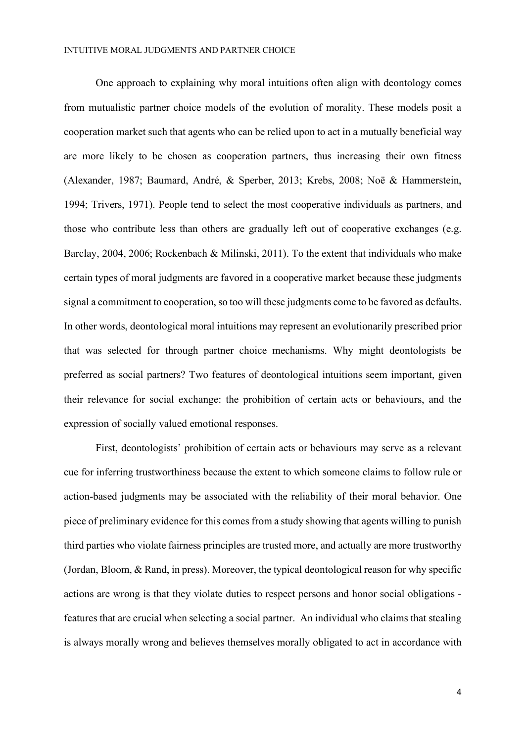One approach to explaining why moral intuitions often align with deontology comes from mutualistic partner choice models of the evolution of morality. These models posit a cooperation market such that agents who can be relied upon to act in a mutually beneficial way are more likely to be chosen as cooperation partners, thus increasing their own fitness (Alexander, 1987; Baumard, André, & Sperber, 2013; Krebs, 2008; Noë & Hammerstein, 1994; Trivers, 1971). People tend to select the most cooperative individuals as partners, and those who contribute less than others are gradually left out of cooperative exchanges (e.g. Barclay, 2004, 2006; Rockenbach & Milinski, 2011). To the extent that individuals who make certain types of moral judgments are favored in a cooperative market because these judgments signal a commitment to cooperation, so too will these judgments come to be favored as defaults. In other words, deontological moral intuitions may represent an evolutionarily prescribed prior that was selected for through partner choice mechanisms. Why might deontologists be preferred as social partners? Two features of deontological intuitions seem important, given their relevance for social exchange: the prohibition of certain acts or behaviours, and the expression of socially valued emotional responses.

First, deontologists' prohibition of certain acts or behaviours may serve as a relevant cue for inferring trustworthiness because the extent to which someone claims to follow rule or action-based judgments may be associated with the reliability of their moral behavior. One piece of preliminary evidence for this comes from a study showing that agents willing to punish third parties who violate fairness principles are trusted more, and actually are more trustworthy (Jordan, Bloom, & Rand, in press). Moreover, the typical deontological reason for why specific actions are wrong is that they violate duties to respect persons and honor social obligations features that are crucial when selecting a social partner. An individual who claims that stealing is always morally wrong and believes themselves morally obligated to act in accordance with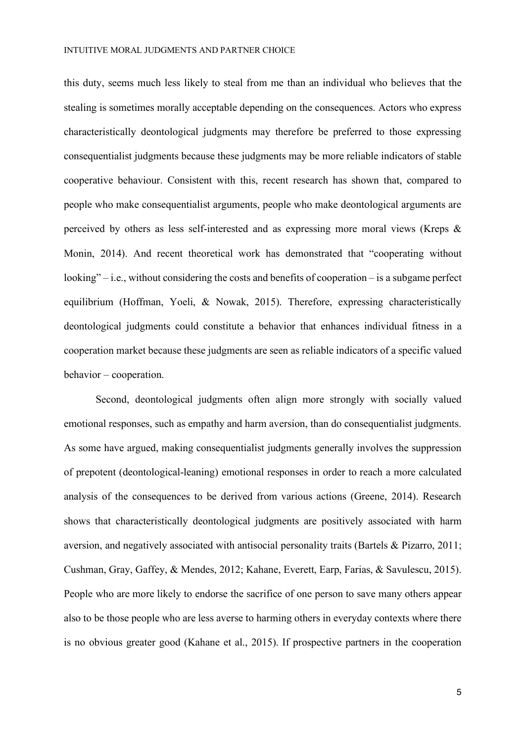this duty, seems much less likely to steal from me than an individual who believes that the stealing is sometimes morally acceptable depending on the consequences. Actors who express characteristically deontological judgments may therefore be preferred to those expressing consequentialist judgments because these judgments may be more reliable indicators of stable cooperative behaviour. Consistent with this, recent research has shown that, compared to people who make consequentialist arguments, people who make deontological arguments are perceived by others as less self-interested and as expressing more moral views (Kreps & Monin, 2014). And recent theoretical work has demonstrated that "cooperating without looking" – i.e., without considering the costs and benefits of cooperation – is a subgame perfect equilibrium (Hoffman, Yoeli, & Nowak, 2015). Therefore, expressing characteristically deontological judgments could constitute a behavior that enhances individual fitness in a cooperation market because these judgments are seen as reliable indicators of a specific valued behavior – cooperation.

Second, deontological judgments often align more strongly with socially valued emotional responses, such as empathy and harm aversion, than do consequentialist judgments. As some have argued, making consequentialist judgments generally involves the suppression of prepotent (deontological-leaning) emotional responses in order to reach a more calculated analysis of the consequences to be derived from various actions (Greene, 2014). Research shows that characteristically deontological judgments are positively associated with harm aversion, and negatively associated with antisocial personality traits (Bartels & Pizarro, 2011; Cushman, Gray, Gaffey, & Mendes, 2012; Kahane, Everett, Earp, Farias, & Savulescu, 2015). People who are more likely to endorse the sacrifice of one person to save many others appear also to be those people who are less averse to harming others in everyday contexts where there is no obvious greater good (Kahane et al., 2015). If prospective partners in the cooperation

5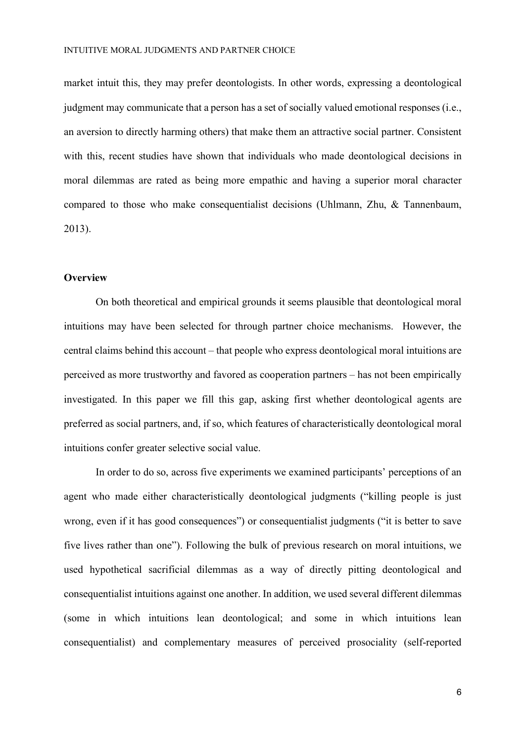market intuit this, they may prefer deontologists. In other words, expressing a deontological judgment may communicate that a person has a set of socially valued emotional responses (i.e., an aversion to directly harming others) that make them an attractive social partner. Consistent with this, recent studies have shown that individuals who made deontological decisions in moral dilemmas are rated as being more empathic and having a superior moral character compared to those who make consequentialist decisions (Uhlmann, Zhu, & Tannenbaum, 2013).

#### **Overview**

On both theoretical and empirical grounds it seems plausible that deontological moral intuitions may have been selected for through partner choice mechanisms. However, the central claims behind this account – that people who express deontological moral intuitions are perceived as more trustworthy and favored as cooperation partners – has not been empirically investigated. In this paper we fill this gap, asking first whether deontological agents are preferred as social partners, and, if so, which features of characteristically deontological moral intuitions confer greater selective social value.

In order to do so, across five experiments we examined participants' perceptions of an agent who made either characteristically deontological judgments ("killing people is just wrong, even if it has good consequences") or consequentialist judgments ("it is better to save five lives rather than one"). Following the bulk of previous research on moral intuitions, we used hypothetical sacrificial dilemmas as a way of directly pitting deontological and consequentialist intuitions against one another. In addition, we used several different dilemmas (some in which intuitions lean deontological; and some in which intuitions lean consequentialist) and complementary measures of perceived prosociality (self-reported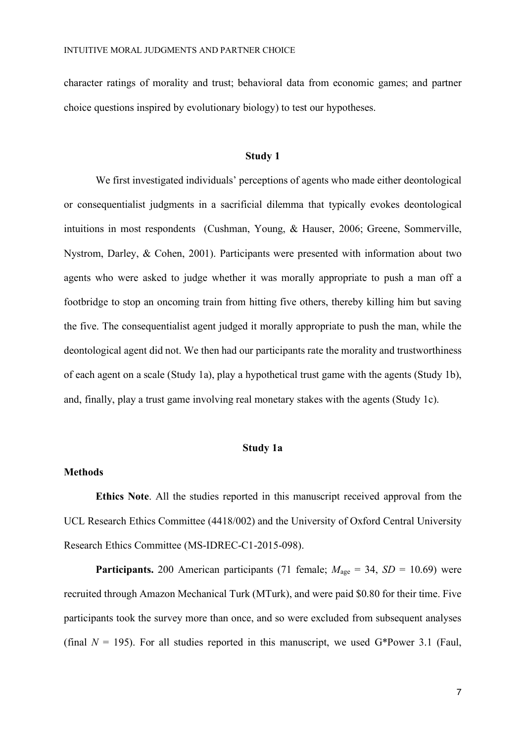character ratings of morality and trust; behavioral data from economic games; and partner choice questions inspired by evolutionary biology) to test our hypotheses.

#### **Study 1**

We first investigated individuals' perceptions of agents who made either deontological or consequentialist judgments in a sacrificial dilemma that typically evokes deontological intuitions in most respondents (Cushman, Young, & Hauser, 2006; Greene, Sommerville, Nystrom, Darley, & Cohen, 2001). Participants were presented with information about two agents who were asked to judge whether it was morally appropriate to push a man off a footbridge to stop an oncoming train from hitting five others, thereby killing him but saving the five. The consequentialist agent judged it morally appropriate to push the man, while the deontological agent did not. We then had our participants rate the morality and trustworthiness of each agent on a scale (Study 1a), play a hypothetical trust game with the agents (Study 1b), and, finally, play a trust game involving real monetary stakes with the agents (Study 1c).

#### **Study 1a**

#### **Methods**

**Ethics Note**. All the studies reported in this manuscript received approval from the UCL Research Ethics Committee (4418/002) and the University of Oxford Central University Research Ethics Committee (MS-IDREC-C1-2015-098).

**Participants.** 200 American participants (71 female;  $M_{\text{age}} = 34$ ,  $SD = 10.69$ ) were recruited through Amazon Mechanical Turk (MTurk), and were paid \$0.80 for their time. Five participants took the survey more than once, and so were excluded from subsequent analyses (final  $N = 195$ ). For all studies reported in this manuscript, we used  $G^*$ Power 3.1 (Faul,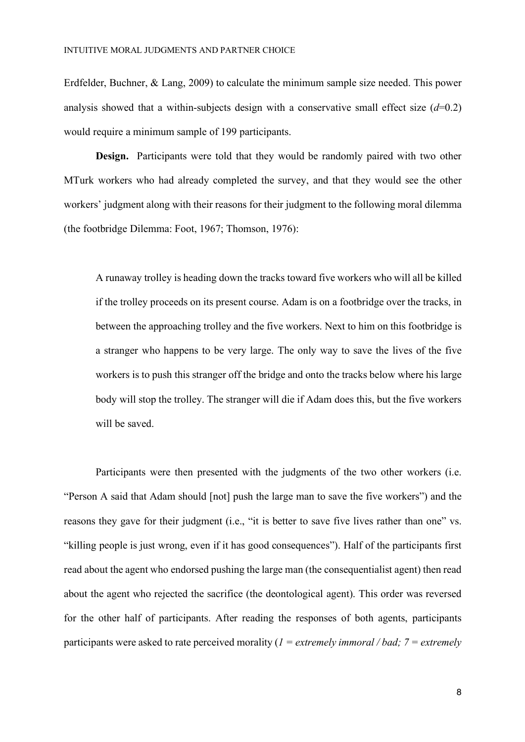Erdfelder, Buchner, & Lang, 2009) to calculate the minimum sample size needed. This power analysis showed that a within-subjects design with a conservative small effect size (*d*=0.2) would require a minimum sample of 199 participants.

**Design.** Participants were told that they would be randomly paired with two other MTurk workers who had already completed the survey, and that they would see the other workers' judgment along with their reasons for their judgment to the following moral dilemma (the footbridge Dilemma: Foot, 1967; Thomson, 1976):

A runaway trolley is heading down the tracks toward five workers who will all be killed if the trolley proceeds on its present course. Adam is on a footbridge over the tracks, in between the approaching trolley and the five workers. Next to him on this footbridge is a stranger who happens to be very large. The only way to save the lives of the five workers is to push this stranger off the bridge and onto the tracks below where his large body will stop the trolley. The stranger will die if Adam does this, but the five workers will be saved.

Participants were then presented with the judgments of the two other workers (i.e. "Person A said that Adam should [not] push the large man to save the five workers") and the reasons they gave for their judgment (i.e., "it is better to save five lives rather than one" vs. "killing people is just wrong, even if it has good consequences"). Half of the participants first read about the agent who endorsed pushing the large man (the consequentialist agent) then read about the agent who rejected the sacrifice (the deontological agent). This order was reversed for the other half of participants. After reading the responses of both agents, participants participants were asked to rate perceived morality (*1 = extremely immoral / bad; 7 = extremely*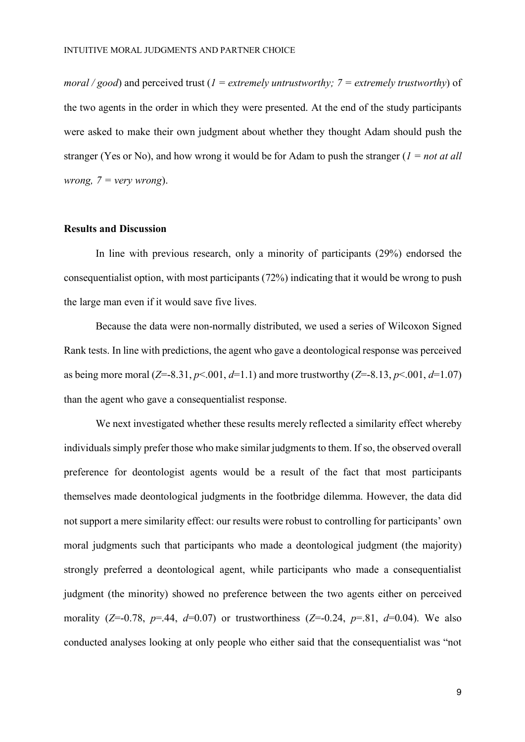*moral / good*) and perceived trust (*1 = extremely untrustworthy; 7 = extremely trustworthy*) of the two agents in the order in which they were presented. At the end of the study participants were asked to make their own judgment about whether they thought Adam should push the stranger (Yes or No), and how wrong it would be for Adam to push the stranger (*1 = not at all wrong, 7 = very wrong*).

#### **Results and Discussion**

In line with previous research, only a minority of participants (29%) endorsed the consequentialist option, with most participants (72%) indicating that it would be wrong to push the large man even if it would save five lives.

Because the data were non-normally distributed, we used a series of Wilcoxon Signed Rank tests. In line with predictions, the agent who gave a deontological response was perceived as being more moral  $(Z=8.31, p<.001, d=1.1)$  and more trustworthy  $(Z=8.13, p<.001, d=1.07)$ than the agent who gave a consequentialist response.

We next investigated whether these results merely reflected a similarity effect whereby individuals simply prefer those who make similar judgments to them. If so, the observed overall preference for deontologist agents would be a result of the fact that most participants themselves made deontological judgments in the footbridge dilemma. However, the data did not support a mere similarity effect: our results were robust to controlling for participants' own moral judgments such that participants who made a deontological judgment (the majority) strongly preferred a deontological agent, while participants who made a consequentialist judgment (the minority) showed no preference between the two agents either on perceived morality (*Z*=-0.78, *p*=.44, *d*=0.07) or trustworthiness (*Z*=-0.24, *p*=.81, *d*=0.04). We also conducted analyses looking at only people who either said that the consequentialist was "not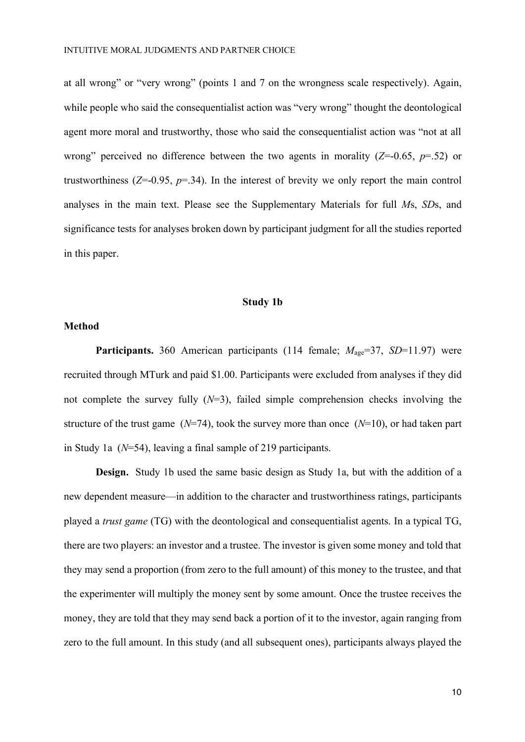at all wrong" or "very wrong" (points 1 and 7 on the wrongness scale respectively). Again, while people who said the consequentialist action was "very wrong" thought the deontological agent more moral and trustworthy, those who said the consequentialist action was "not at all wrong" perceived no difference between the two agents in morality  $(Z=0.65, p=.52)$  or trustworthiness  $(Z=0.95, p=.34)$ . In the interest of brevity we only report the main control analyses in the main text. Please see the Supplementary Materials for full *M*s, *SD*s, and significance tests for analyses broken down by participant judgment for all the studies reported in this paper.

#### **Study 1b**

#### **Method**

**Participants.** 360 American participants (114 female;  $M_{\text{age}}=37$ , *SD*=11.97) were recruited through MTurk and paid \$1.00. Participants were excluded from analyses if they did not complete the survey fully (*N*=3), failed simple comprehension checks involving the structure of the trust game (*N*=74), took the survey more than once (*N*=10), or had taken part in Study 1a (*N*=54), leaving a final sample of 219 participants.

**Design.** Study 1b used the same basic design as Study 1a, but with the addition of a new dependent measure—in addition to the character and trustworthiness ratings, participants played a *trust game* (TG) with the deontological and consequentialist agents. In a typical TG, there are two players: an investor and a trustee. The investor is given some money and told that they may send a proportion (from zero to the full amount) of this money to the trustee, and that the experimenter will multiply the money sent by some amount. Once the trustee receives the money, they are told that they may send back a portion of it to the investor, again ranging from zero to the full amount. In this study (and all subsequent ones), participants always played the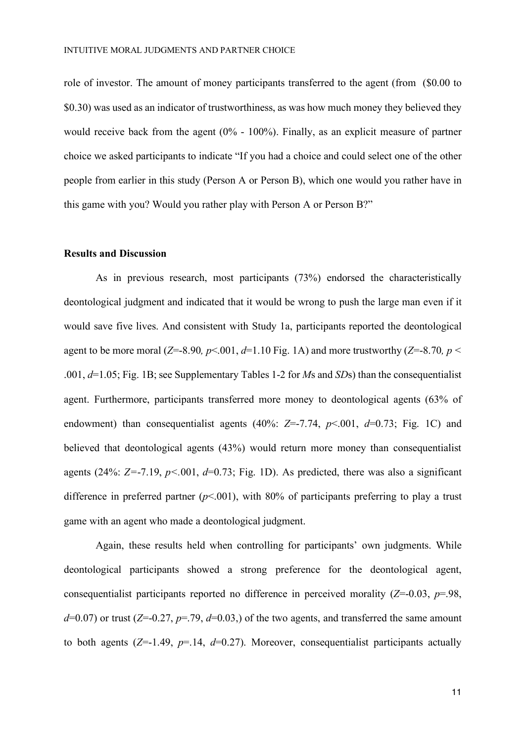role of investor. The amount of money participants transferred to the agent (from (\$0.00 to \$0.30) was used as an indicator of trustworthiness, as was how much money they believed they would receive back from the agent (0% - 100%). Finally, as an explicit measure of partner choice we asked participants to indicate "If you had a choice and could select one of the other people from earlier in this study (Person A or Person B), which one would you rather have in this game with you? Would you rather play with Person A or Person B?"

#### **Results and Discussion**

As in previous research, most participants (73%) endorsed the characteristically deontological judgment and indicated that it would be wrong to push the large man even if it would save five lives. And consistent with Study 1a, participants reported the deontological agent to be more moral (*Z*=-8.90*, p*<.001, *d*=1.10 Fig. 1A) and more trustworthy (*Z*=-8.70*, p* < .001, *d*=1.05; Fig. 1B; see Supplementary Tables 1-2 for *M*s and *SD*s) than the consequentialist agent. Furthermore, participants transferred more money to deontological agents (63% of endowment) than consequentialist agents  $(40\%; Z=-7.74, p<.001, d=0.73; Fig. 1C)$  and believed that deontological agents (43%) would return more money than consequentialist agents (24%:  $Z=-7.19$ ,  $p<.001$ ,  $d=0.73$ ; Fig. 1D). As predicted, there was also a significant difference in preferred partner  $(p<0.01)$ , with 80% of participants preferring to play a trust game with an agent who made a deontological judgment.

Again, these results held when controlling for participants' own judgments. While deontological participants showed a strong preference for the deontological agent, consequentialist participants reported no difference in perceived morality (*Z*=-0.03, *p*=.98,  $d=0.07$ ) or trust (*Z*=-0.27, *p*=.79,  $d=0.03$ ) of the two agents, and transferred the same amount to both agents  $(Z=1.49, p=.14, d=0.27)$ . Moreover, consequentialist participants actually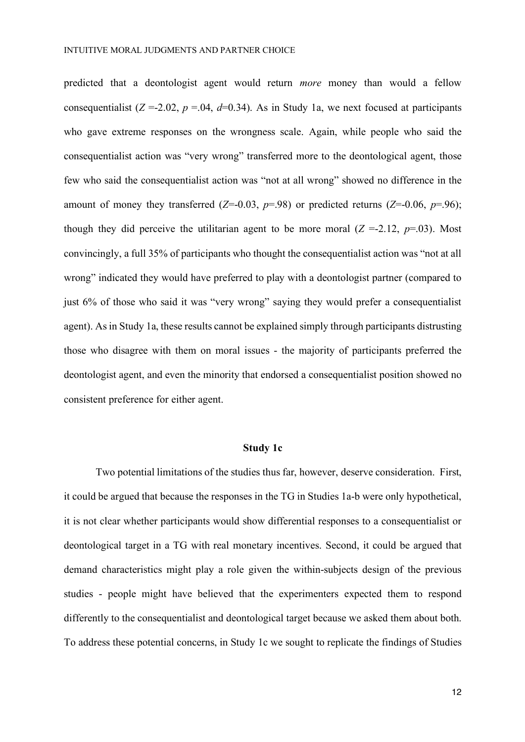predicted that a deontologist agent would return *more* money than would a fellow consequentialist  $(Z = 2.02, p = 0.04, d = 0.34)$ . As in Study 1a, we next focused at participants who gave extreme responses on the wrongness scale. Again, while people who said the consequentialist action was "very wrong" transferred more to the deontological agent, those few who said the consequentialist action was "not at all wrong" showed no difference in the amount of money they transferred  $(Z=0.03, p=.98)$  or predicted returns  $(Z=0.06, p=.96)$ ; though they did perceive the utilitarian agent to be more moral  $(Z = -2.12, p = 03)$ . Most convincingly, a full 35% of participants who thought the consequentialist action was "not at all wrong" indicated they would have preferred to play with a deontologist partner (compared to just 6% of those who said it was "very wrong" saying they would prefer a consequentialist agent). As in Study 1a, these results cannot be explained simply through participants distrusting those who disagree with them on moral issues - the majority of participants preferred the deontologist agent, and even the minority that endorsed a consequentialist position showed no consistent preference for either agent.

#### **Study 1c**

Two potential limitations of the studies thus far, however, deserve consideration. First, it could be argued that because the responses in the TG in Studies 1a-b were only hypothetical, it is not clear whether participants would show differential responses to a consequentialist or deontological target in a TG with real monetary incentives. Second, it could be argued that demand characteristics might play a role given the within-subjects design of the previous studies - people might have believed that the experimenters expected them to respond differently to the consequentialist and deontological target because we asked them about both. To address these potential concerns, in Study 1c we sought to replicate the findings of Studies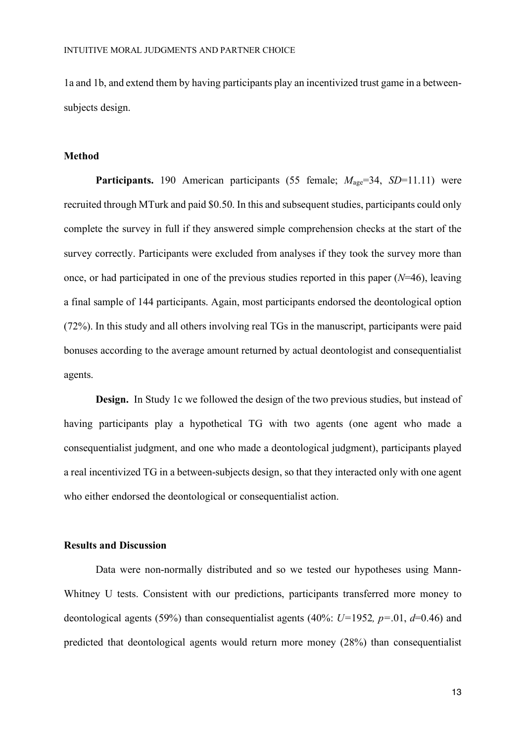1a and 1b, and extend them by having participants play an incentivized trust game in a betweensubjects design.

#### **Method**

**Participants.** 190 American participants (55 female;  $M_{\text{age}}=34$ , *SD*=11.11) were recruited through MTurk and paid \$0.50. In this and subsequent studies, participants could only complete the survey in full if they answered simple comprehension checks at the start of the survey correctly. Participants were excluded from analyses if they took the survey more than once, or had participated in one of the previous studies reported in this paper (*N*=46), leaving a final sample of 144 participants. Again, most participants endorsed the deontological option (72%). In this study and all others involving real TGs in the manuscript, participants were paid bonuses according to the average amount returned by actual deontologist and consequentialist agents.

**Design.** In Study 1c we followed the design of the two previous studies, but instead of having participants play a hypothetical TG with two agents (one agent who made a consequentialist judgment, and one who made a deontological judgment), participants played a real incentivized TG in a between-subjects design, so that they interacted only with one agent who either endorsed the deontological or consequentialist action.

#### **Results and Discussion**

Data were non-normally distributed and so we tested our hypotheses using Mann-Whitney U tests. Consistent with our predictions, participants transferred more money to deontological agents (59%) than consequentialist agents (40%: *U=*1952*, p=*.01, *d*=0.46) and predicted that deontological agents would return more money (28%) than consequentialist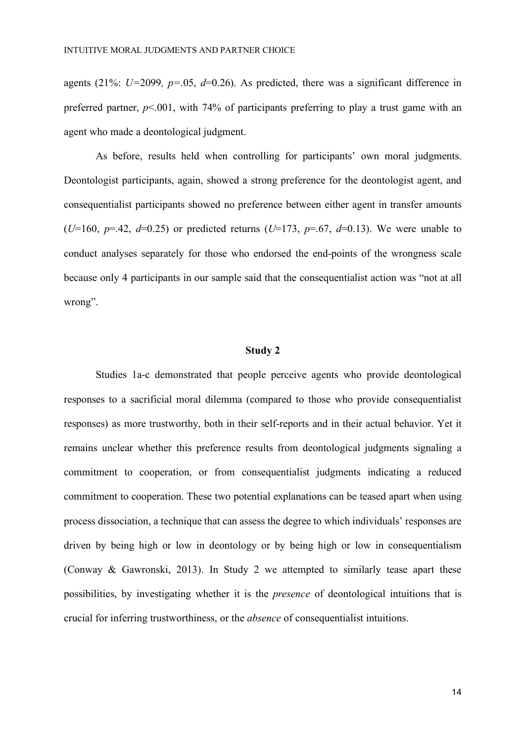agents (21%: *U=*2099*, p=*.05, *d*=0.26). As predicted, there was a significant difference in preferred partner, *p*<.001, with 74% of participants preferring to play a trust game with an agent who made a deontological judgment.

As before, results held when controlling for participants' own moral judgments. Deontologist participants, again, showed a strong preference for the deontologist agent, and consequentialist participants showed no preference between either agent in transfer amounts ( $U=160$ ,  $p=.42$ ,  $d=0.25$ ) or predicted returns ( $U=173$ ,  $p=.67$ ,  $d=0.13$ ). We were unable to conduct analyses separately for those who endorsed the end-points of the wrongness scale because only 4 participants in our sample said that the consequentialist action was "not at all wrong".

#### **Study 2**

Studies 1a-c demonstrated that people perceive agents who provide deontological responses to a sacrificial moral dilemma (compared to those who provide consequentialist responses) as more trustworthy, both in their self-reports and in their actual behavior. Yet it remains unclear whether this preference results from deontological judgments signaling a commitment to cooperation, or from consequentialist judgments indicating a reduced commitment to cooperation. These two potential explanations can be teased apart when using process dissociation, a technique that can assess the degree to which individuals' responses are driven by being high or low in deontology or by being high or low in consequentialism (Conway & Gawronski, 2013). In Study 2 we attempted to similarly tease apart these possibilities, by investigating whether it is the *presence* of deontological intuitions that is crucial for inferring trustworthiness, or the *absence* of consequentialist intuitions.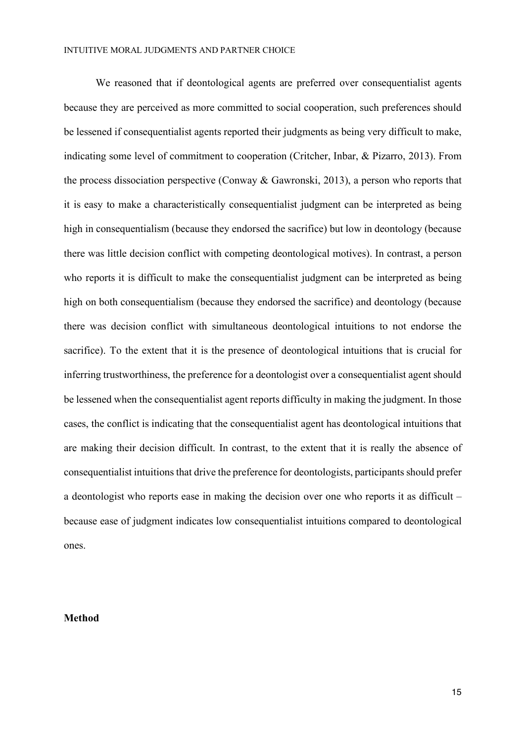We reasoned that if deontological agents are preferred over consequentialist agents because they are perceived as more committed to social cooperation, such preferences should be lessened if consequentialist agents reported their judgments as being very difficult to make, indicating some level of commitment to cooperation (Critcher, Inbar, & Pizarro, 2013). From the process dissociation perspective (Conway & Gawronski, 2013), a person who reports that it is easy to make a characteristically consequentialist judgment can be interpreted as being high in consequentialism (because they endorsed the sacrifice) but low in deontology (because there was little decision conflict with competing deontological motives). In contrast, a person who reports it is difficult to make the consequentialist judgment can be interpreted as being high on both consequentialism (because they endorsed the sacrifice) and deontology (because there was decision conflict with simultaneous deontological intuitions to not endorse the sacrifice). To the extent that it is the presence of deontological intuitions that is crucial for inferring trustworthiness, the preference for a deontologist over a consequentialist agent should be lessened when the consequentialist agent reports difficulty in making the judgment. In those cases, the conflict is indicating that the consequentialist agent has deontological intuitions that are making their decision difficult. In contrast, to the extent that it is really the absence of consequentialist intuitions that drive the preference for deontologists, participants should prefer a deontologist who reports ease in making the decision over one who reports it as difficult – because ease of judgment indicates low consequentialist intuitions compared to deontological ones.

#### **Method**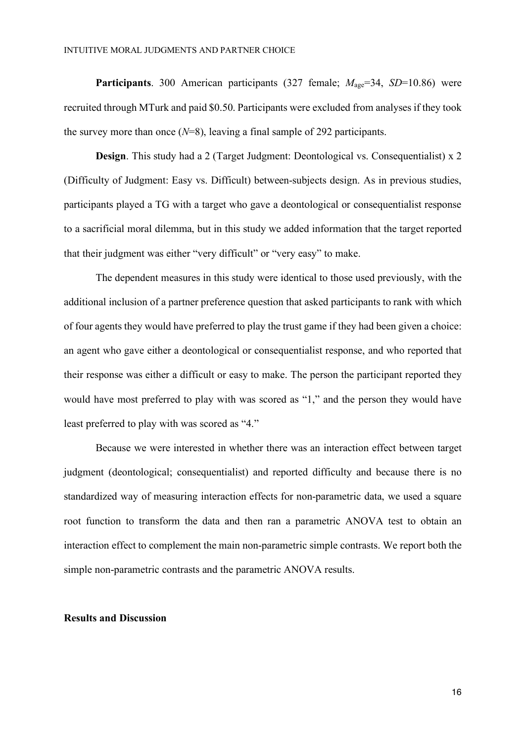**Participants**. 300 American participants (327 female;  $M_{\text{age}}=34$ , *SD*=10.86) were recruited through MTurk and paid \$0.50. Participants were excluded from analyses if they took the survey more than once  $(N=8)$ , leaving a final sample of 292 participants.

**Design**. This study had a 2 (Target Judgment: Deontological vs. Consequentialist) x 2 (Difficulty of Judgment: Easy vs. Difficult) between-subjects design. As in previous studies, participants played a TG with a target who gave a deontological or consequentialist response to a sacrificial moral dilemma, but in this study we added information that the target reported that their judgment was either "very difficult" or "very easy" to make.

The dependent measures in this study were identical to those used previously, with the additional inclusion of a partner preference question that asked participants to rank with which of four agents they would have preferred to play the trust game if they had been given a choice: an agent who gave either a deontological or consequentialist response, and who reported that their response was either a difficult or easy to make. The person the participant reported they would have most preferred to play with was scored as "1," and the person they would have least preferred to play with was scored as "4."

Because we were interested in whether there was an interaction effect between target judgment (deontological; consequentialist) and reported difficulty and because there is no standardized way of measuring interaction effects for non-parametric data, we used a square root function to transform the data and then ran a parametric ANOVA test to obtain an interaction effect to complement the main non-parametric simple contrasts. We report both the simple non-parametric contrasts and the parametric ANOVA results.

#### **Results and Discussion**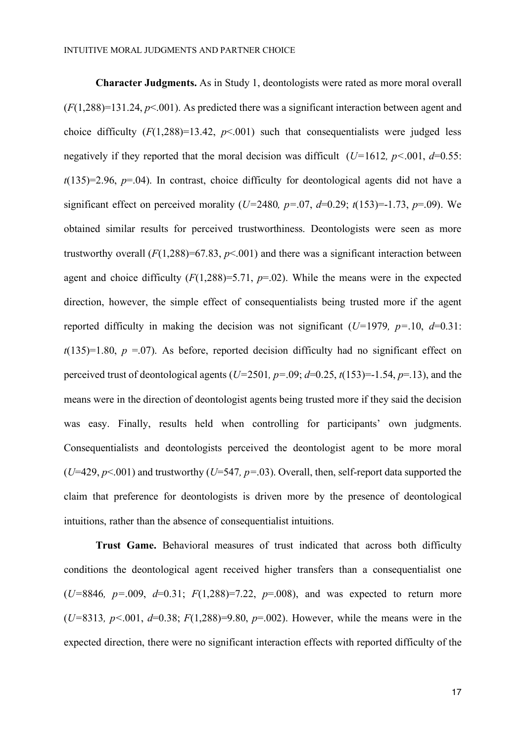**Character Judgments.** As in Study 1, deontologists were rated as more moral overall  $(F(1,288)=131.24, p<0.01)$ . As predicted there was a significant interaction between agent and choice difficulty  $(F(1,288)=13.42, p<0.01)$  such that consequentialists were judged less negatively if they reported that the moral decision was difficult ( $U=1612$ ,  $p<.001$ ,  $d=0.55$ : *t*(135)=2.96, *p*=.04). In contrast, choice difficulty for deontological agents did not have a significant effect on perceived morality ( $U=2480$ ,  $p=.07$ ,  $d=0.29$ ;  $t(153)=-1.73$ ,  $p=.09$ ). We obtained similar results for perceived trustworthiness. Deontologists were seen as more trustworthy overall  $(F(1,288)=67.83, p<0.01)$  and there was a significant interaction between agent and choice difficulty (*F*(1,288)=5.71, *p*=.02). While the means were in the expected direction, however, the simple effect of consequentialists being trusted more if the agent reported difficulty in making the decision was not significant  $(U=1979, p=.10, d=0.31$ :  $t(135)=1.80$ ,  $p = 0.07$ ). As before, reported decision difficulty had no significant effect on perceived trust of deontological agents ( $U=2501$ ,  $p=.09$ ;  $d=0.25$ ,  $t(153)=-1.54$ ,  $p=.13$ ), and the means were in the direction of deontologist agents being trusted more if they said the decision was easy. Finally, results held when controlling for participants' own judgments. Consequentialists and deontologists perceived the deontologist agent to be more moral (*U*=429, *p*<.001) and trustworthy (*U*=547*, p=*.03). Overall, then, self-report data supported the claim that preference for deontologists is driven more by the presence of deontological intuitions, rather than the absence of consequentialist intuitions.

**Trust Game.** Behavioral measures of trust indicated that across both difficulty conditions the deontological agent received higher transfers than a consequentialist one  $(U=8846, p=.009, d=0.31; F(1,288)=7.22, p=.008$ , and was expected to return more (*U=*8313*, p<*.001, *d*=0.38; *F*(1,288)=9.80, *p*=.002). However, while the means were in the expected direction, there were no significant interaction effects with reported difficulty of the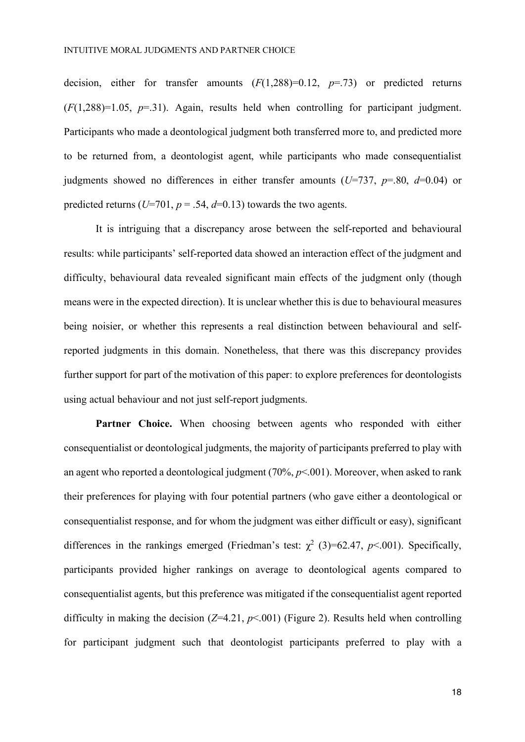decision, either for transfer amounts  $(F(1,288)=0.12, p=.73)$  or predicted returns  $(F(1,288)=1.05, p=.31)$ . Again, results held when controlling for participant judgment. Participants who made a deontological judgment both transferred more to, and predicted more to be returned from, a deontologist agent, while participants who made consequentialist judgments showed no differences in either transfer amounts  $(U=737, p=.80, d=0.04)$  or predicted returns ( $U=701$ ,  $p=.54$ ,  $d=0.13$ ) towards the two agents.

It is intriguing that a discrepancy arose between the self-reported and behavioural results: while participants' self-reported data showed an interaction effect of the judgment and difficulty, behavioural data revealed significant main effects of the judgment only (though means were in the expected direction). It is unclear whether this is due to behavioural measures being noisier, or whether this represents a real distinction between behavioural and selfreported judgments in this domain. Nonetheless, that there was this discrepancy provides further support for part of the motivation of this paper: to explore preferences for deontologists using actual behaviour and not just self-report judgments.

**Partner Choice.** When choosing between agents who responded with either consequentialist or deontological judgments, the majority of participants preferred to play with an agent who reported a deontological judgment (70%, *p*<.001). Moreover, when asked to rank their preferences for playing with four potential partners (who gave either a deontological or consequentialist response, and for whom the judgment was either difficult or easy), significant differences in the rankings emerged (Friedman's test:  $\chi^2$  (3)=62.47, *p*<.001). Specifically, participants provided higher rankings on average to deontological agents compared to consequentialist agents, but this preference was mitigated if the consequentialist agent reported difficulty in making the decision  $(Z=4.21, p<0.01)$  (Figure 2). Results held when controlling for participant judgment such that deontologist participants preferred to play with a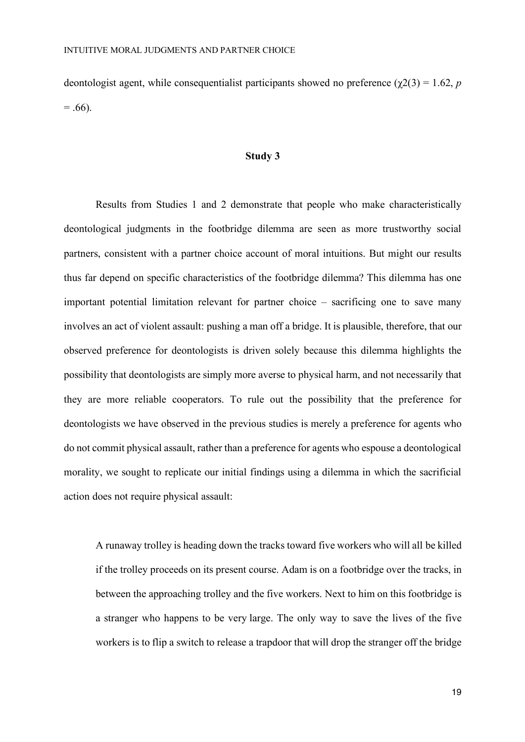deontologist agent, while consequentialist participants showed no preference  $(\gamma 2(3) = 1.62, p$  $= .66$ ).

#### **Study 3**

Results from Studies 1 and 2 demonstrate that people who make characteristically deontological judgments in the footbridge dilemma are seen as more trustworthy social partners, consistent with a partner choice account of moral intuitions. But might our results thus far depend on specific characteristics of the footbridge dilemma? This dilemma has one important potential limitation relevant for partner choice – sacrificing one to save many involves an act of violent assault: pushing a man off a bridge. It is plausible, therefore, that our observed preference for deontologists is driven solely because this dilemma highlights the possibility that deontologists are simply more averse to physical harm, and not necessarily that they are more reliable cooperators. To rule out the possibility that the preference for deontologists we have observed in the previous studies is merely a preference for agents who do not commit physical assault, rather than a preference for agents who espouse a deontological morality, we sought to replicate our initial findings using a dilemma in which the sacrificial action does not require physical assault:

A runaway trolley is heading down the tracks toward five workers who will all be killed if the trolley proceeds on its present course. Adam is on a footbridge over the tracks, in between the approaching trolley and the five workers. Next to him on this footbridge is a stranger who happens to be very large. The only way to save the lives of the five workers is to flip a switch to release a trapdoor that will drop the stranger off the bridge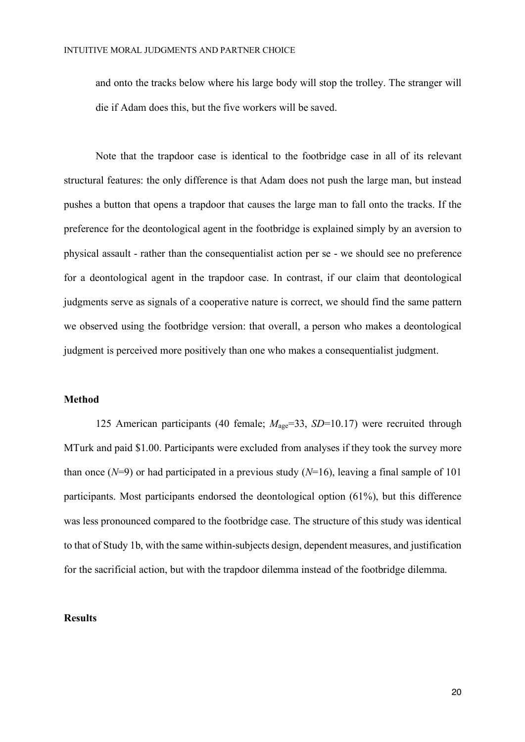and onto the tracks below where his large body will stop the trolley. The stranger will die if Adam does this, but the five workers will be saved.

Note that the trapdoor case is identical to the footbridge case in all of its relevant structural features: the only difference is that Adam does not push the large man, but instead pushes a button that opens a trapdoor that causes the large man to fall onto the tracks. If the preference for the deontological agent in the footbridge is explained simply by an aversion to physical assault - rather than the consequentialist action per se - we should see no preference for a deontological agent in the trapdoor case. In contrast, if our claim that deontological judgments serve as signals of a cooperative nature is correct, we should find the same pattern we observed using the footbridge version: that overall, a person who makes a deontological judgment is perceived more positively than one who makes a consequentialist judgment.

#### **Method**

125 American participants (40 female; *M*age=33, *SD*=10.17) were recruited through MTurk and paid \$1.00. Participants were excluded from analyses if they took the survey more than once  $(N=9)$  or had participated in a previous study  $(N=16)$ , leaving a final sample of 101 participants. Most participants endorsed the deontological option (61%), but this difference was less pronounced compared to the footbridge case. The structure of this study was identical to that of Study 1b, with the same within-subjects design, dependent measures, and justification for the sacrificial action, but with the trapdoor dilemma instead of the footbridge dilemma.

#### **Results**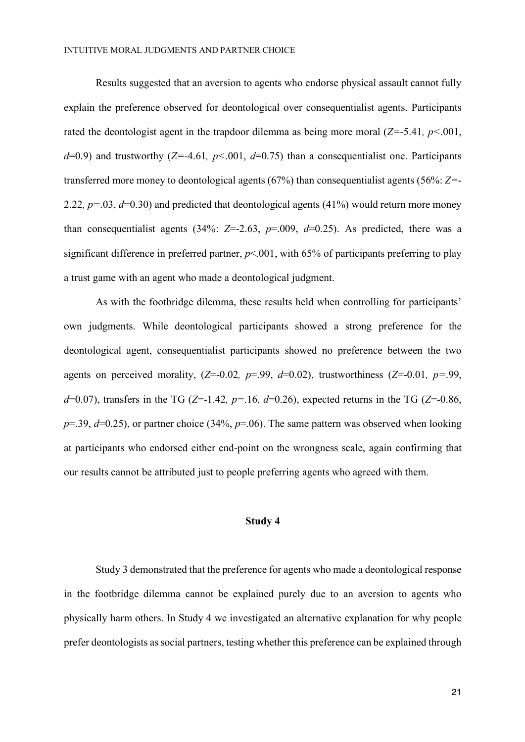Results suggested that an aversion to agents who endorse physical assault cannot fully explain the preference observed for deontological over consequentialist agents. Participants rated the deontologist agent in the trapdoor dilemma as being more moral (*Z=*-5.41*, p<*.001,  $d=0.9$ ) and trustworthy (*Z*=-4.61*, p*<.001, *d*=0.75) than a consequentialist one. Participants transferred more money to deontological agents (67%) than consequentialist agents (56%: *Z=*- 2.22*, p=*.03, *d*=0.30) and predicted that deontological agents (41%) would return more money than consequentialist agents  $(34\%; Z=-2.63, p=0.09, d=0.25)$ . As predicted, there was a significant difference in preferred partner,  $p<.001$ , with 65% of participants preferring to play a trust game with an agent who made a deontological judgment.

As with the footbridge dilemma, these results held when controlling for participants' own judgments. While deontological participants showed a strong preference for the deontological agent, consequentialist participants showed no preference between the two agents on perceived morality,  $(Z=0.02, p=0.99, d=0.02)$ , trustworthiness  $(Z=0.01, p=0.99,$ *d*=0.07), transfers in the TG (*Z*=-1.42*, p=*.16, *d*=0.26), expected returns in the TG (*Z*=-0.86,  $p=0.39$ ,  $d=0.25$ ), or partner choice (34%,  $p=0.06$ ). The same pattern was observed when looking at participants who endorsed either end-point on the wrongness scale, again confirming that our results cannot be attributed just to people preferring agents who agreed with them.

#### **Study 4**

Study 3 demonstrated that the preference for agents who made a deontological response in the footbridge dilemma cannot be explained purely due to an aversion to agents who physically harm others. In Study 4 we investigated an alternative explanation for why people prefer deontologists as social partners, testing whether this preference can be explained through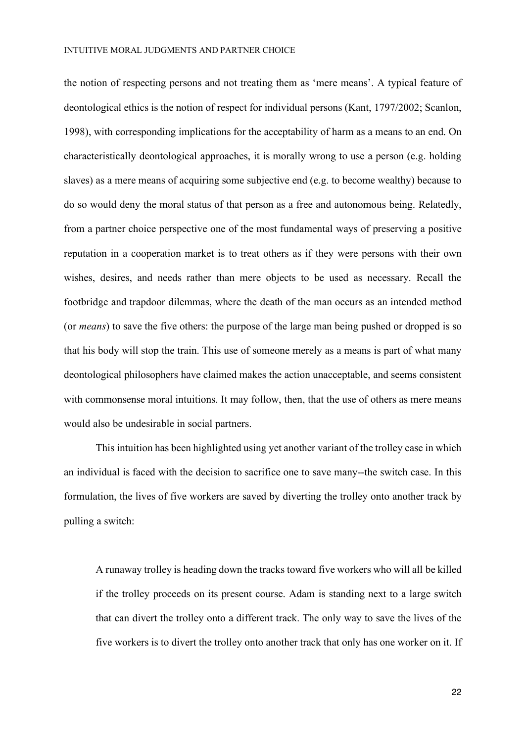the notion of respecting persons and not treating them as 'mere means'. A typical feature of deontological ethics is the notion of respect for individual persons (Kant, 1797/2002; Scanlon, 1998), with corresponding implications for the acceptability of harm as a means to an end. On characteristically deontological approaches, it is morally wrong to use a person (e.g. holding slaves) as a mere means of acquiring some subjective end (e.g. to become wealthy) because to do so would deny the moral status of that person as a free and autonomous being. Relatedly, from a partner choice perspective one of the most fundamental ways of preserving a positive reputation in a cooperation market is to treat others as if they were persons with their own wishes, desires, and needs rather than mere objects to be used as necessary. Recall the footbridge and trapdoor dilemmas, where the death of the man occurs as an intended method (or *means*) to save the five others: the purpose of the large man being pushed or dropped is so that his body will stop the train. This use of someone merely as a means is part of what many deontological philosophers have claimed makes the action unacceptable, and seems consistent with commonsense moral intuitions. It may follow, then, that the use of others as mere means would also be undesirable in social partners.

This intuition has been highlighted using yet another variant of the trolley case in which an individual is faced with the decision to sacrifice one to save many--the switch case. In this formulation, the lives of five workers are saved by diverting the trolley onto another track by pulling a switch:

A runaway trolley is heading down the tracks toward five workers who will all be killed if the trolley proceeds on its present course. Adam is standing next to a large switch that can divert the trolley onto a different track. The only way to save the lives of the five workers is to divert the trolley onto another track that only has one worker on it. If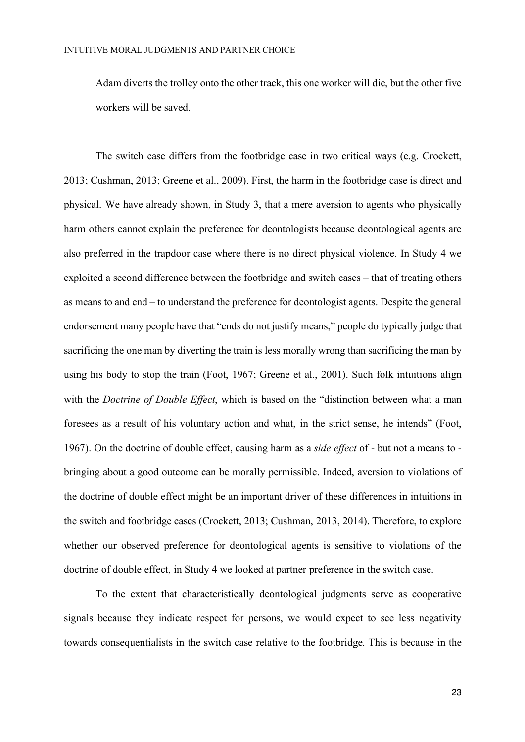Adam diverts the trolley onto the other track, this one worker will die, but the other five workers will be saved.

The switch case differs from the footbridge case in two critical ways (e.g. Crockett, 2013; Cushman, 2013; Greene et al., 2009). First, the harm in the footbridge case is direct and physical. We have already shown, in Study 3, that a mere aversion to agents who physically harm others cannot explain the preference for deontologists because deontological agents are also preferred in the trapdoor case where there is no direct physical violence. In Study 4 we exploited a second difference between the footbridge and switch cases – that of treating others as means to and end – to understand the preference for deontologist agents. Despite the general endorsement many people have that "ends do not justify means," people do typically judge that sacrificing the one man by diverting the train is less morally wrong than sacrificing the man by using his body to stop the train (Foot, 1967; Greene et al., 2001). Such folk intuitions align with the *Doctrine of Double Effect*, which is based on the "distinction between what a man foresees as a result of his voluntary action and what, in the strict sense, he intends" (Foot, 1967). On the doctrine of double effect, causing harm as a *side effect* of - but not a means to bringing about a good outcome can be morally permissible. Indeed, aversion to violations of the doctrine of double effect might be an important driver of these differences in intuitions in the switch and footbridge cases (Crockett, 2013; Cushman, 2013, 2014). Therefore, to explore whether our observed preference for deontological agents is sensitive to violations of the doctrine of double effect, in Study 4 we looked at partner preference in the switch case.

To the extent that characteristically deontological judgments serve as cooperative signals because they indicate respect for persons, we would expect to see less negativity towards consequentialists in the switch case relative to the footbridge. This is because in the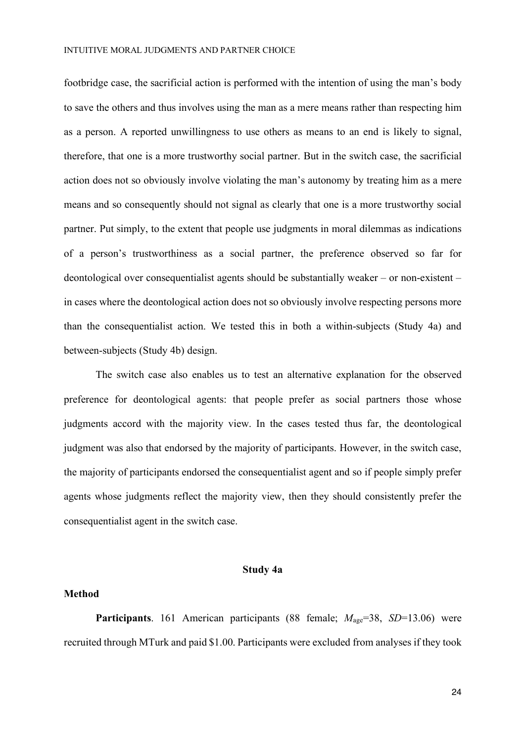#### INTUITIVE MORAL JUDGMENTS AND PARTNER CHOICE

footbridge case, the sacrificial action is performed with the intention of using the man's body to save the others and thus involves using the man as a mere means rather than respecting him as a person. A reported unwillingness to use others as means to an end is likely to signal, therefore, that one is a more trustworthy social partner. But in the switch case, the sacrificial action does not so obviously involve violating the man's autonomy by treating him as a mere means and so consequently should not signal as clearly that one is a more trustworthy social partner. Put simply, to the extent that people use judgments in moral dilemmas as indications of a person's trustworthiness as a social partner, the preference observed so far for deontological over consequentialist agents should be substantially weaker – or non-existent – in cases where the deontological action does not so obviously involve respecting persons more than the consequentialist action. We tested this in both a within-subjects (Study 4a) and between-subjects (Study 4b) design.

The switch case also enables us to test an alternative explanation for the observed preference for deontological agents: that people prefer as social partners those whose judgments accord with the majority view. In the cases tested thus far, the deontological judgment was also that endorsed by the majority of participants. However, in the switch case, the majority of participants endorsed the consequentialist agent and so if people simply prefer agents whose judgments reflect the majority view, then they should consistently prefer the consequentialist agent in the switch case.

#### **Study 4a**

#### **Method**

**Participants**. 161 American participants (88 female;  $M_{\text{age}}=38$ , *SD*=13.06) were recruited through MTurk and paid \$1.00. Participants were excluded from analyses if they took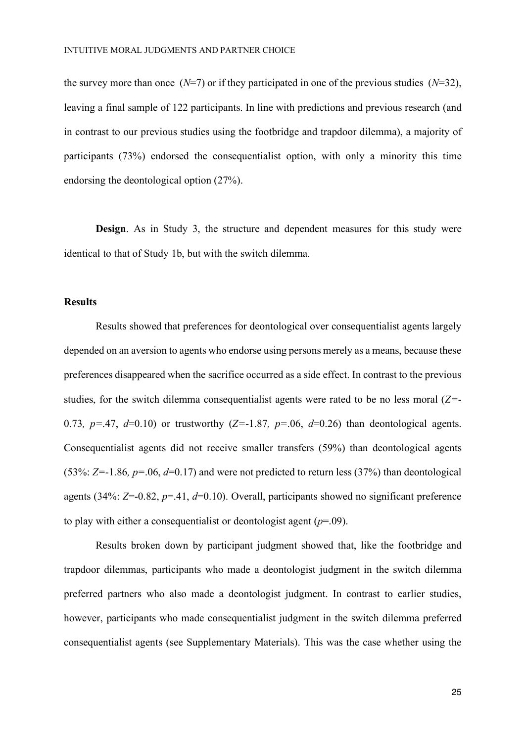the survey more than once  $(N=7)$  or if they participated in one of the previous studies  $(N=32)$ , leaving a final sample of 122 participants. In line with predictions and previous research (and in contrast to our previous studies using the footbridge and trapdoor dilemma), a majority of participants (73%) endorsed the consequentialist option, with only a minority this time endorsing the deontological option (27%).

**Design**. As in Study 3, the structure and dependent measures for this study were identical to that of Study 1b, but with the switch dilemma.

#### **Results**

Results showed that preferences for deontological over consequentialist agents largely depended on an aversion to agents who endorse using persons merely as a means, because these preferences disappeared when the sacrifice occurred as a side effect. In contrast to the previous studies, for the switch dilemma consequentialist agents were rated to be no less moral (*Z=*- 0.73*, p*=.47, *d*=0.10) or trustworthy (*Z*=-1.87, *p*=.06, *d*=0.26) than deontological agents. Consequentialist agents did not receive smaller transfers (59%) than deontological agents (53%:  $Z=-1.86$ ,  $p=.06$ ,  $d=0.17$ ) and were not predicted to return less (37%) than deontological agents (34%: *Z*=-0.82, *p*=.41, *d*=0.10). Overall, participants showed no significant preference to play with either a consequentialist or deontologist agent (*p*=.09).

Results broken down by participant judgment showed that, like the footbridge and trapdoor dilemmas, participants who made a deontologist judgment in the switch dilemma preferred partners who also made a deontologist judgment. In contrast to earlier studies, however, participants who made consequentialist judgment in the switch dilemma preferred consequentialist agents (see Supplementary Materials). This was the case whether using the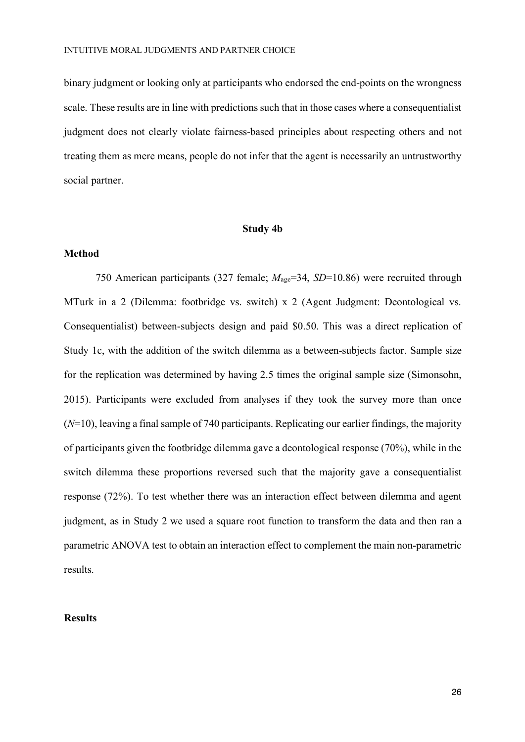binary judgment or looking only at participants who endorsed the end-points on the wrongness scale. These results are in line with predictions such that in those cases where a consequentialist judgment does not clearly violate fairness-based principles about respecting others and not treating them as mere means, people do not infer that the agent is necessarily an untrustworthy social partner.

#### **Study 4b**

#### **Method**

750 American participants (327 female; *M*age=34, *SD*=10.86) were recruited through MTurk in a 2 (Dilemma: footbridge vs. switch) x 2 (Agent Judgment: Deontological vs. Consequentialist) between-subjects design and paid \$0.50. This was a direct replication of Study 1c, with the addition of the switch dilemma as a between-subjects factor. Sample size for the replication was determined by having 2.5 times the original sample size (Simonsohn, 2015). Participants were excluded from analyses if they took the survey more than once (*N*=10), leaving a final sample of 740 participants. Replicating our earlier findings, the majority of participants given the footbridge dilemma gave a deontological response (70%), while in the switch dilemma these proportions reversed such that the majority gave a consequentialist response (72%). To test whether there was an interaction effect between dilemma and agent judgment, as in Study 2 we used a square root function to transform the data and then ran a parametric ANOVA test to obtain an interaction effect to complement the main non-parametric results.

#### **Results**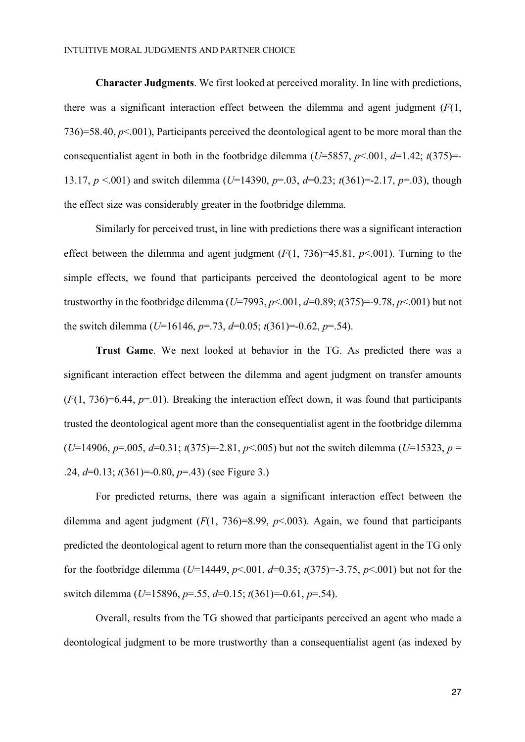**Character Judgments**. We first looked at perceived morality. In line with predictions, there was a significant interaction effect between the dilemma and agent judgment (*F*(1, 736)=58.40, *p*<.001), Participants perceived the deontological agent to be more moral than the consequentialist agent in both in the footbridge dilemma ( $U=5857$ ,  $p<.001$ ,  $d=1.42$ ;  $t(375)$ =-13.17, *p* <.001) and switch dilemma (*U*=14390, *p*=.03, *d*=0.23; *t*(361)=-2.17, *p*=.03), though the effect size was considerably greater in the footbridge dilemma.

Similarly for perceived trust, in line with predictions there was a significant interaction effect between the dilemma and agent judgment  $(F(1, 736)=45.81, p<0.01)$ . Turning to the simple effects, we found that participants perceived the deontological agent to be more trustworthy in the footbridge dilemma ( $U=7993$ ,  $p<0.01$ ,  $d=0.89$ ;  $t(375)=-9.78$ ,  $p<0.01$ ) but not the switch dilemma (*U*=16146, *p*=.73, *d*=0.05; *t*(361)=-0.62, *p*=.54).

**Trust Game**. We next looked at behavior in the TG. As predicted there was a significant interaction effect between the dilemma and agent judgment on transfer amounts  $(F(1, 736)=6.44, p=0.01)$ . Breaking the interaction effect down, it was found that participants trusted the deontological agent more than the consequentialist agent in the footbridge dilemma ( $U=14906$ ,  $p=.005$ ,  $d=0.31$ ;  $t(375)=2.81$ ,  $p<.005$ ) but not the switch dilemma ( $U=15323$ ,  $p=0.05$ ) .24, *d*=0.13; *t*(361)=-0.80, *p*=.43) (see Figure 3.)

For predicted returns, there was again a significant interaction effect between the dilemma and agent judgment  $(F(1, 736)=8.99, p<.003)$ . Again, we found that participants predicted the deontological agent to return more than the consequentialist agent in the TG only for the footbridge dilemma ( $U=14449$ ,  $p<0.01$ ,  $d=0.35$ ;  $t(375)=-3.75$ ,  $p<0.01$ ) but not for the switch dilemma (*U*=15896, *p*=.55, *d*=0.15; *t*(361)=-0.61, *p*=.54).

Overall, results from the TG showed that participants perceived an agent who made a deontological judgment to be more trustworthy than a consequentialist agent (as indexed by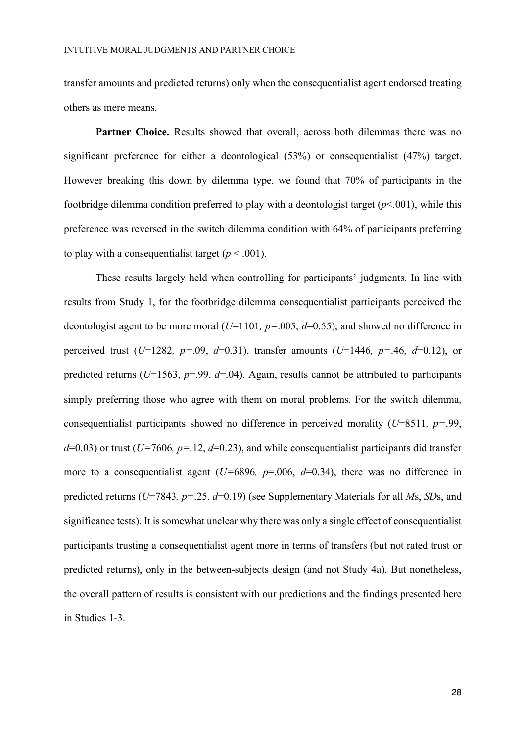transfer amounts and predicted returns) only when the consequentialist agent endorsed treating others as mere means.

**Partner Choice.** Results showed that overall, across both dilemmas there was no significant preference for either a deontological (53%) or consequentialist (47%) target. However breaking this down by dilemma type, we found that 70% of participants in the footbridge dilemma condition preferred to play with a deontologist target (*p*<.001), while this preference was reversed in the switch dilemma condition with 64% of participants preferring to play with a consequentialist target ( $p < .001$ ).

These results largely held when controlling for participants' judgments. In line with results from Study 1, for the footbridge dilemma consequentialist participants perceived the deontologist agent to be more moral (*U*=1101*, p=*.005, *d*=0.55), and showed no difference in perceived trust  $(U=1282, p=.09, d=0.31)$ , transfer amounts  $(U=1446, p=.46, d=0.12)$ , or predicted returns (*U*=1563, *p*=.99, *d*=.04). Again, results cannot be attributed to participants simply preferring those who agree with them on moral problems. For the switch dilemma, consequentialist participants showed no difference in perceived morality (*U*=8511*, p=*.99,  $d=0.03$ ) or trust ( $U=7606$ ,  $p=.12$ ,  $d=0.23$ ), and while consequentialist participants did transfer more to a consequentialist agent (*U*=6896, *p*=.006, *d*=0.34), there was no difference in predicted returns (*U*=7843*, p=*.25, *d*=0.19) (see Supplementary Materials for all *M*s, *SD*s, and significance tests). It is somewhat unclear why there was only a single effect of consequentialist participants trusting a consequentialist agent more in terms of transfers (but not rated trust or predicted returns), only in the between-subjects design (and not Study 4a). But nonetheless, the overall pattern of results is consistent with our predictions and the findings presented here in Studies 1-3.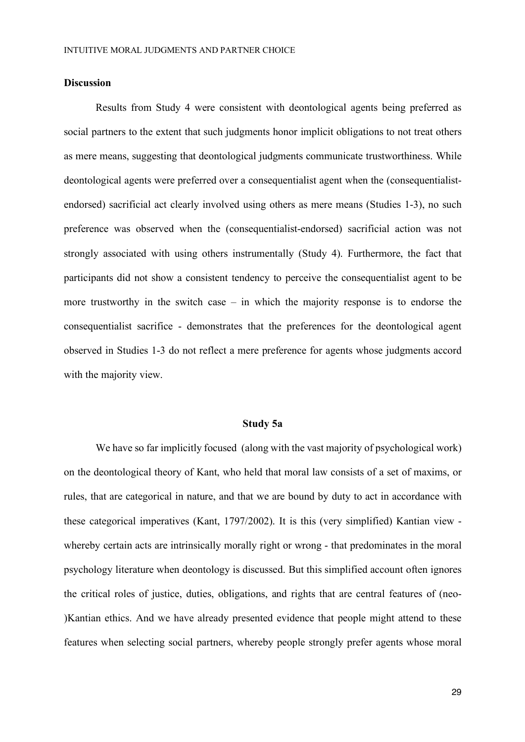#### **Discussion**

Results from Study 4 were consistent with deontological agents being preferred as social partners to the extent that such judgments honor implicit obligations to not treat others as mere means, suggesting that deontological judgments communicate trustworthiness. While deontological agents were preferred over a consequentialist agent when the (consequentialistendorsed) sacrificial act clearly involved using others as mere means (Studies 1-3), no such preference was observed when the (consequentialist-endorsed) sacrificial action was not strongly associated with using others instrumentally (Study 4). Furthermore, the fact that participants did not show a consistent tendency to perceive the consequentialist agent to be more trustworthy in the switch case – in which the majority response is to endorse the consequentialist sacrifice - demonstrates that the preferences for the deontological agent observed in Studies 1-3 do not reflect a mere preference for agents whose judgments accord with the majority view.

#### **Study 5a**

We have so far implicitly focused (along with the vast majority of psychological work) on the deontological theory of Kant, who held that moral law consists of a set of maxims, or rules, that are categorical in nature, and that we are bound by duty to act in accordance with these categorical imperatives (Kant, 1797/2002). It is this (very simplified) Kantian view whereby certain acts are intrinsically morally right or wrong - that predominates in the moral psychology literature when deontology is discussed. But this simplified account often ignores the critical roles of justice, duties, obligations, and rights that are central features of (neo- )Kantian ethics. And we have already presented evidence that people might attend to these features when selecting social partners, whereby people strongly prefer agents whose moral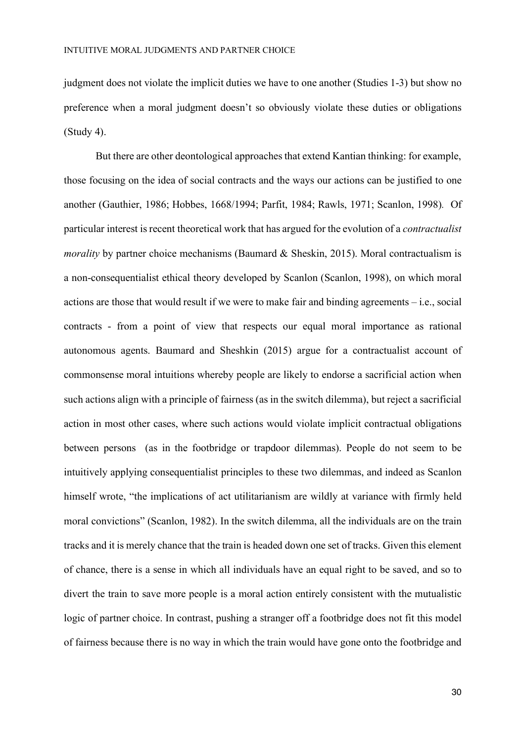judgment does not violate the implicit duties we have to one another (Studies 1-3) but show no preference when a moral judgment doesn't so obviously violate these duties or obligations (Study 4).

But there are other deontological approaches that extend Kantian thinking: for example, those focusing on the idea of social contracts and the ways our actions can be justified to one another (Gauthier, 1986; Hobbes, 1668/1994; Parfit, 1984; Rawls, 1971; Scanlon, 1998)*.* Of particular interest is recent theoretical work that has argued for the evolution of a *contractualist morality* by partner choice mechanisms (Baumard & Sheskin, 2015). Moral contractualism is a non-consequentialist ethical theory developed by Scanlon (Scanlon, 1998), on which moral actions are those that would result if we were to make fair and binding agreements – i.e., social contracts - from a point of view that respects our equal moral importance as rational autonomous agents. Baumard and Sheshkin (2015) argue for a contractualist account of commonsense moral intuitions whereby people are likely to endorse a sacrificial action when such actions align with a principle of fairness (as in the switch dilemma), but reject a sacrificial action in most other cases, where such actions would violate implicit contractual obligations between persons (as in the footbridge or trapdoor dilemmas). People do not seem to be intuitively applying consequentialist principles to these two dilemmas, and indeed as Scanlon himself wrote, "the implications of act utilitarianism are wildly at variance with firmly held moral convictions" (Scanlon, 1982). In the switch dilemma, all the individuals are on the train tracks and it is merely chance that the train is headed down one set of tracks. Given this element of chance, there is a sense in which all individuals have an equal right to be saved, and so to divert the train to save more people is a moral action entirely consistent with the mutualistic logic of partner choice. In contrast, pushing a stranger off a footbridge does not fit this model of fairness because there is no way in which the train would have gone onto the footbridge and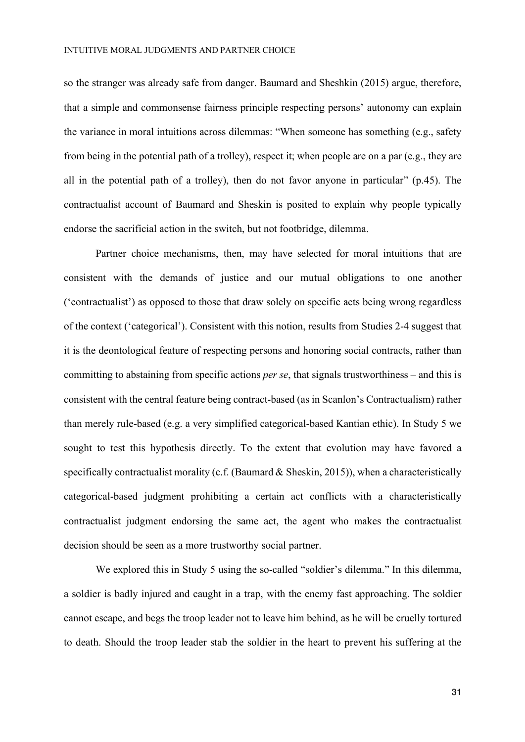so the stranger was already safe from danger. Baumard and Sheshkin (2015) argue, therefore, that a simple and commonsense fairness principle respecting persons' autonomy can explain the variance in moral intuitions across dilemmas: "When someone has something (e.g., safety from being in the potential path of a trolley), respect it; when people are on a par (e.g., they are all in the potential path of a trolley), then do not favor anyone in particular" (p.45). The contractualist account of Baumard and Sheskin is posited to explain why people typically endorse the sacrificial action in the switch, but not footbridge, dilemma.

Partner choice mechanisms, then, may have selected for moral intuitions that are consistent with the demands of justice and our mutual obligations to one another ('contractualist') as opposed to those that draw solely on specific acts being wrong regardless of the context ('categorical'). Consistent with this notion, results from Studies 2-4 suggest that it is the deontological feature of respecting persons and honoring social contracts, rather than committing to abstaining from specific actions *per se*, that signals trustworthiness – and this is consistent with the central feature being contract-based (as in Scanlon's Contractualism) rather than merely rule-based (e.g. a very simplified categorical-based Kantian ethic). In Study 5 we sought to test this hypothesis directly. To the extent that evolution may have favored a specifically contractualist morality (c.f. (Baumard  $\&$  Sheskin, 2015)), when a characteristically categorical-based judgment prohibiting a certain act conflicts with a characteristically contractualist judgment endorsing the same act, the agent who makes the contractualist decision should be seen as a more trustworthy social partner.

We explored this in Study 5 using the so-called "soldier's dilemma." In this dilemma, a soldier is badly injured and caught in a trap, with the enemy fast approaching. The soldier cannot escape, and begs the troop leader not to leave him behind, as he will be cruelly tortured to death. Should the troop leader stab the soldier in the heart to prevent his suffering at the

31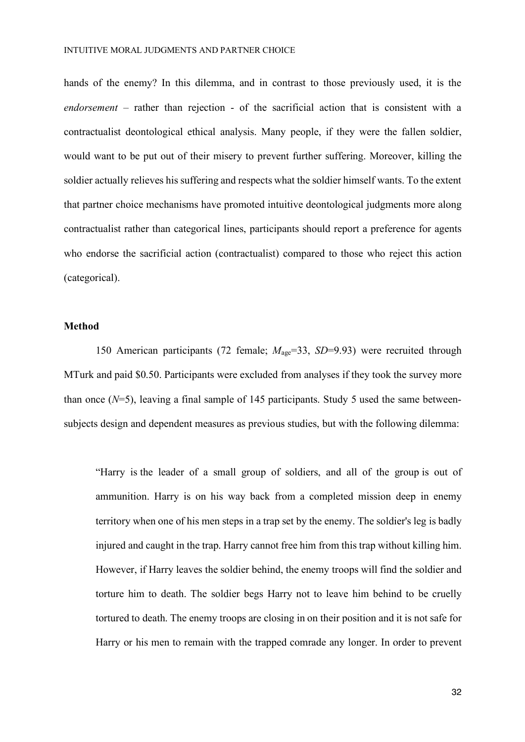hands of the enemy? In this dilemma, and in contrast to those previously used, it is the *endorsement* – rather than rejection - of the sacrificial action that is consistent with a contractualist deontological ethical analysis. Many people, if they were the fallen soldier, would want to be put out of their misery to prevent further suffering. Moreover, killing the soldier actually relieves his suffering and respects what the soldier himself wants. To the extent that partner choice mechanisms have promoted intuitive deontological judgments more along contractualist rather than categorical lines, participants should report a preference for agents who endorse the sacrificial action (contractualist) compared to those who reject this action (categorical).

#### **Method**

150 American participants (72 female; *M*age=33, *SD*=9.93) were recruited through MTurk and paid \$0.50. Participants were excluded from analyses if they took the survey more than once  $(N=5)$ , leaving a final sample of 145 participants. Study 5 used the same betweensubjects design and dependent measures as previous studies, but with the following dilemma:

"Harry is the leader of a small group of soldiers, and all of the group is out of ammunition. Harry is on his way back from a completed mission deep in enemy territory when one of his men steps in a trap set by the enemy. The soldier's leg is badly injured and caught in the trap. Harry cannot free him from this trap without killing him. However, if Harry leaves the soldier behind, the enemy troops will find the soldier and torture him to death. The soldier begs Harry not to leave him behind to be cruelly tortured to death. The enemy troops are closing in on their position and it is not safe for Harry or his men to remain with the trapped comrade any longer. In order to prevent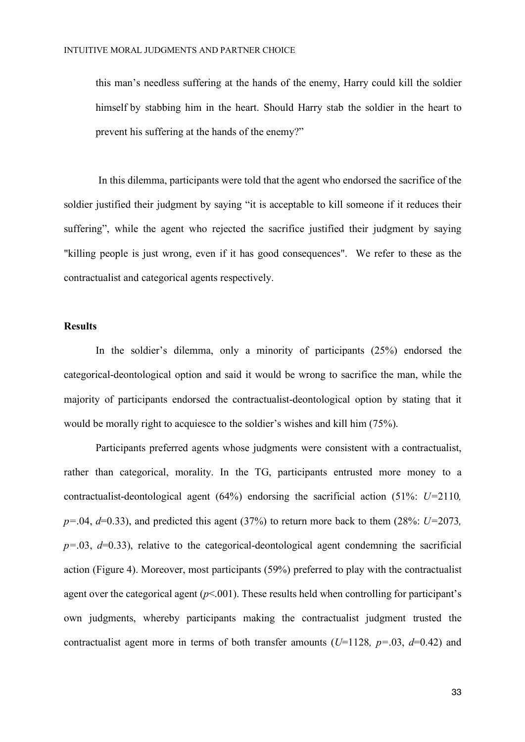this man's needless suffering at the hands of the enemy, Harry could kill the soldier himself by stabbing him in the heart. Should Harry stab the soldier in the heart to prevent his suffering at the hands of the enemy?"

In this dilemma, participants were told that the agent who endorsed the sacrifice of the soldier justified their judgment by saying "it is acceptable to kill someone if it reduces their suffering", while the agent who rejected the sacrifice justified their judgment by saying "killing people is just wrong, even if it has good consequences". We refer to these as the contractualist and categorical agents respectively.

#### **Results**

In the soldier's dilemma, only a minority of participants (25%) endorsed the categorical-deontological option and said it would be wrong to sacrifice the man, while the majority of participants endorsed the contractualist-deontological option by stating that it would be morally right to acquiesce to the soldier's wishes and kill him (75%).

Participants preferred agents whose judgments were consistent with a contractualist, rather than categorical, morality. In the TG, participants entrusted more money to a contractualist-deontological agent (64%) endorsing the sacrificial action (51%: *U=*2110*,*   $p=0.04$ ,  $d=0.33$ ), and predicted this agent (37%) to return more back to them (28%:  $U=2073$ ,  $p=0.03$ ,  $d=0.33$ ), relative to the categorical-deontological agent condemning the sacrificial action (Figure 4). Moreover, most participants (59%) preferred to play with the contractualist agent over the categorical agent  $(p<0.01)$ . These results held when controlling for participant's own judgments, whereby participants making the contractualist judgment trusted the contractualist agent more in terms of both transfer amounts ( $U=1128$ ,  $p=.03$ ,  $d=0.42$ ) and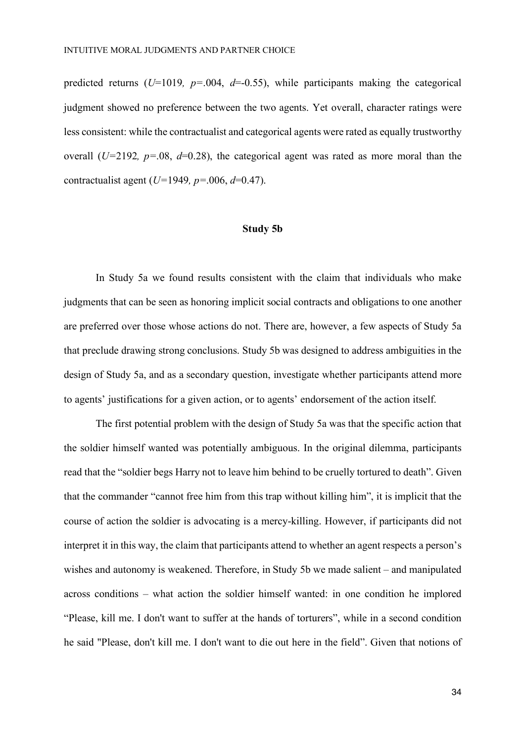predicted returns  $(U=1019, p=.004, d=.0.55)$ , while participants making the categorical judgment showed no preference between the two agents. Yet overall, character ratings were less consistent: while the contractualist and categorical agents were rated as equally trustworthy overall  $(U=2192, p=.08, d=0.28)$ , the categorical agent was rated as more moral than the contractualist agent (*U=*1949*, p=*.006, *d*=0.47).

#### **Study 5b**

In Study 5a we found results consistent with the claim that individuals who make judgments that can be seen as honoring implicit social contracts and obligations to one another are preferred over those whose actions do not. There are, however, a few aspects of Study 5a that preclude drawing strong conclusions. Study 5b was designed to address ambiguities in the design of Study 5a, and as a secondary question, investigate whether participants attend more to agents' justifications for a given action, or to agents' endorsement of the action itself.

The first potential problem with the design of Study 5a was that the specific action that the soldier himself wanted was potentially ambiguous. In the original dilemma, participants read that the "soldier begs Harry not to leave him behind to be cruelly tortured to death". Given that the commander "cannot free him from this trap without killing him", it is implicit that the course of action the soldier is advocating is a mercy-killing. However, if participants did not interpret it in this way, the claim that participants attend to whether an agent respects a person's wishes and autonomy is weakened. Therefore, in Study 5b we made salient – and manipulated across conditions – what action the soldier himself wanted: in one condition he implored "Please, kill me. I don't want to suffer at the hands of torturers", while in a second condition he said "Please, don't kill me. I don't want to die out here in the field". Given that notions of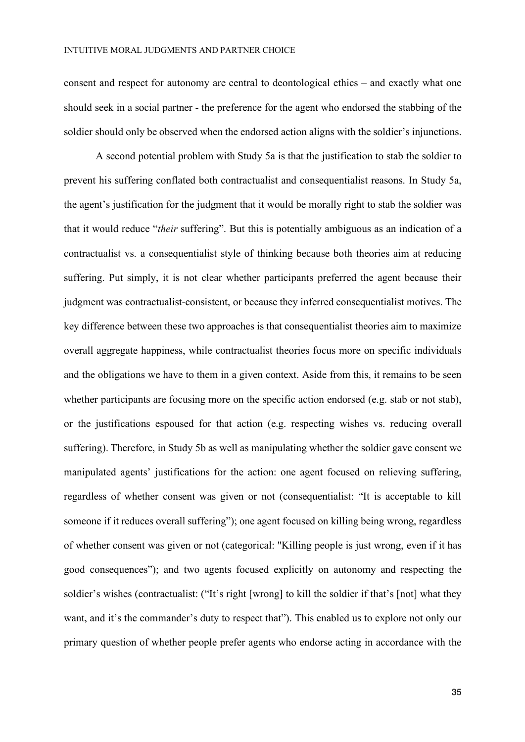consent and respect for autonomy are central to deontological ethics – and exactly what one should seek in a social partner - the preference for the agent who endorsed the stabbing of the soldier should only be observed when the endorsed action aligns with the soldier's injunctions.

A second potential problem with Study 5a is that the justification to stab the soldier to prevent his suffering conflated both contractualist and consequentialist reasons. In Study 5a, the agent's justification for the judgment that it would be morally right to stab the soldier was that it would reduce "*their* suffering". But this is potentially ambiguous as an indication of a contractualist vs. a consequentialist style of thinking because both theories aim at reducing suffering. Put simply, it is not clear whether participants preferred the agent because their judgment was contractualist-consistent, or because they inferred consequentialist motives. The key difference between these two approaches is that consequentialist theories aim to maximize overall aggregate happiness, while contractualist theories focus more on specific individuals and the obligations we have to them in a given context. Aside from this, it remains to be seen whether participants are focusing more on the specific action endorsed (e.g. stab or not stab), or the justifications espoused for that action (e.g. respecting wishes vs. reducing overall suffering). Therefore, in Study 5b as well as manipulating whether the soldier gave consent we manipulated agents' justifications for the action: one agent focused on relieving suffering, regardless of whether consent was given or not (consequentialist: "It is acceptable to kill someone if it reduces overall suffering"); one agent focused on killing being wrong, regardless of whether consent was given or not (categorical: "Killing people is just wrong, even if it has good consequences"); and two agents focused explicitly on autonomy and respecting the soldier's wishes (contractualist: ("It's right [wrong] to kill the soldier if that's [not] what they want, and it's the commander's duty to respect that"). This enabled us to explore not only our primary question of whether people prefer agents who endorse acting in accordance with the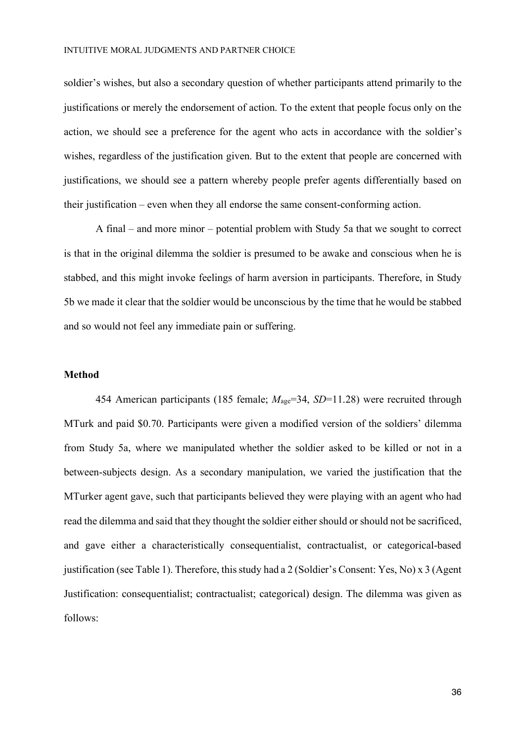#### INTUITIVE MORAL JUDGMENTS AND PARTNER CHOICE

soldier's wishes, but also a secondary question of whether participants attend primarily to the justifications or merely the endorsement of action. To the extent that people focus only on the action, we should see a preference for the agent who acts in accordance with the soldier's wishes, regardless of the justification given. But to the extent that people are concerned with justifications, we should see a pattern whereby people prefer agents differentially based on their justification – even when they all endorse the same consent-conforming action.

A final – and more minor – potential problem with Study 5a that we sought to correct is that in the original dilemma the soldier is presumed to be awake and conscious when he is stabbed, and this might invoke feelings of harm aversion in participants. Therefore, in Study 5b we made it clear that the soldier would be unconscious by the time that he would be stabbed and so would not feel any immediate pain or suffering.

#### **Method**

454 American participants (185 female; *M*age=34, *SD*=11.28) were recruited through MTurk and paid \$0.70. Participants were given a modified version of the soldiers' dilemma from Study 5a, where we manipulated whether the soldier asked to be killed or not in a between-subjects design. As a secondary manipulation, we varied the justification that the MTurker agent gave, such that participants believed they were playing with an agent who had read the dilemma and said that they thought the soldier either should or should not be sacrificed, and gave either a characteristically consequentialist, contractualist, or categorical-based justification (see Table 1). Therefore, this study had a 2 (Soldier's Consent: Yes, No) x 3 (Agent Justification: consequentialist; contractualist; categorical) design. The dilemma was given as follows: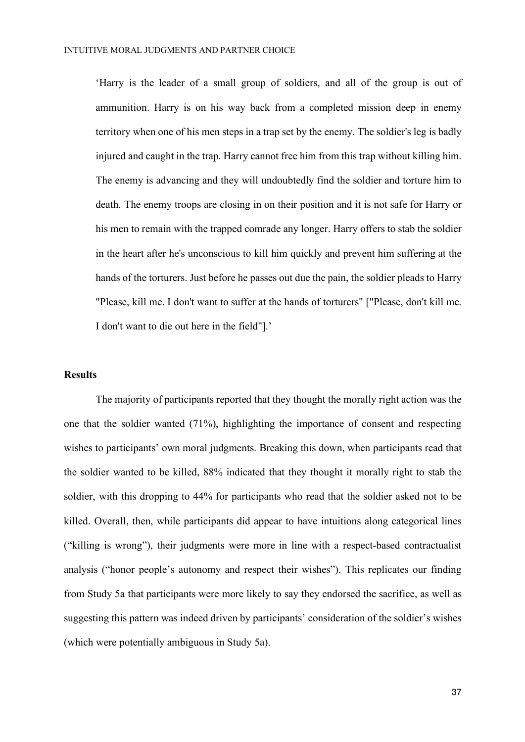'Harry is the leader of a small group of soldiers, and all of the group is out of ammunition. Harry is on his way back from a completed mission deep in enemy territory when one of his men steps in a trap set by the enemy. The soldier's leg is badly injured and caught in the trap. Harry cannot free him from this trap without killing him. The enemy is advancing and they will undoubtedly find the soldier and torture him to death. The enemy troops are closing in on their position and it is not safe for Harry or his men to remain with the trapped comrade any longer. Harry offers to stab the soldier in the heart after he's unconscious to kill him quickly and prevent him suffering at the hands of the torturers. Just before he passes out due the pain, the soldier pleads to Harry "Please, kill me. I don't want to suffer at the hands of torturers" ["Please, don't kill me. I don't want to die out here in the field"].'

#### **Results**

The majority of participants reported that they thought the morally right action was the one that the soldier wanted (71%), highlighting the importance of consent and respecting wishes to participants' own moral judgments. Breaking this down, when participants read that the soldier wanted to be killed, 88% indicated that they thought it morally right to stab the soldier, with this dropping to 44% for participants who read that the soldier asked not to be killed. Overall, then, while participants did appear to have intuitions along categorical lines ("killing is wrong"), their judgments were more in line with a respect-based contractualist analysis ("honor people's autonomy and respect their wishes"). This replicates our finding from Study 5a that participants were more likely to say they endorsed the sacrifice, as well as suggesting this pattern was indeed driven by participants' consideration of the soldier's wishes (which were potentially ambiguous in Study 5a).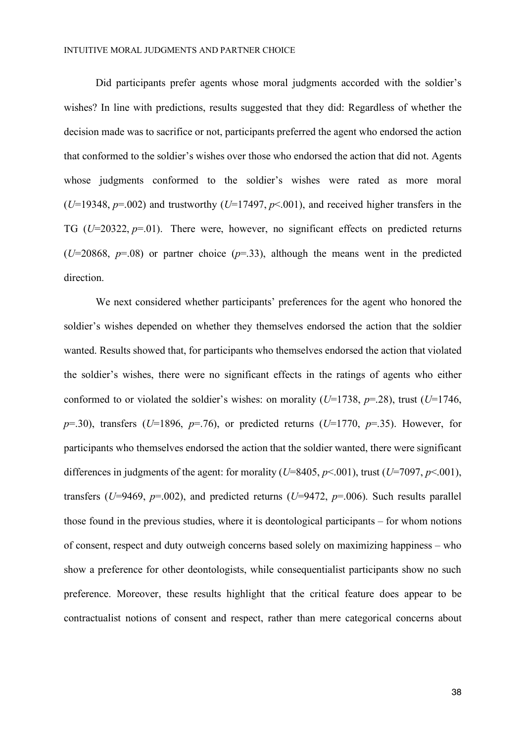Did participants prefer agents whose moral judgments accorded with the soldier's wishes? In line with predictions, results suggested that they did: Regardless of whether the decision made was to sacrifice or not, participants preferred the agent who endorsed the action that conformed to the soldier's wishes over those who endorsed the action that did not. Agents whose judgments conformed to the soldier's wishes were rated as more moral ( $U=19348$ ,  $p=.002$ ) and trustworthy ( $U=17497$ ,  $p<.001$ ), and received higher transfers in the TG  $(U=20322, p=01)$ . There were, however, no significant effects on predicted returns  $(U=20868, p=.08)$  or partner choice  $(p=.33)$ , although the means went in the predicted direction.

We next considered whether participants' preferences for the agent who honored the soldier's wishes depended on whether they themselves endorsed the action that the soldier wanted. Results showed that, for participants who themselves endorsed the action that violated the soldier's wishes, there were no significant effects in the ratings of agents who either conformed to or violated the soldier's wishes: on morality (*U*=1738, *p*=.28), trust (*U*=1746,  $p=0.30$ , transfers ( $U=1896$ ,  $p=0.76$ ), or predicted returns ( $U=1770$ ,  $p=0.35$ ). However, for participants who themselves endorsed the action that the soldier wanted, there were significant differences in judgments of the agent: for morality ( $U=8405$ ,  $p<.001$ ), trust ( $U=7097$ ,  $p<.001$ ), transfers ( $U=9469$ ,  $p=.002$ ), and predicted returns ( $U=9472$ ,  $p=.006$ ). Such results parallel those found in the previous studies, where it is deontological participants – for whom notions of consent, respect and duty outweigh concerns based solely on maximizing happiness – who show a preference for other deontologists, while consequentialist participants show no such preference. Moreover, these results highlight that the critical feature does appear to be contractualist notions of consent and respect, rather than mere categorical concerns about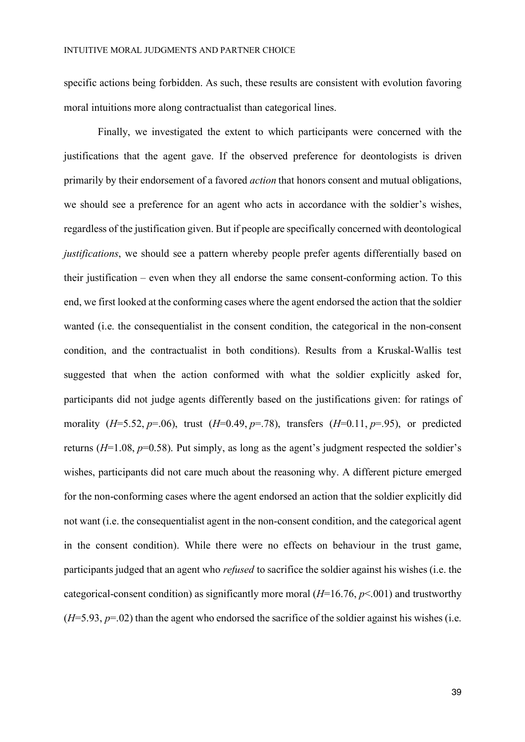specific actions being forbidden. As such, these results are consistent with evolution favoring moral intuitions more along contractualist than categorical lines.

 Finally, we investigated the extent to which participants were concerned with the justifications that the agent gave. If the observed preference for deontologists is driven primarily by their endorsement of a favored *action* that honors consent and mutual obligations, we should see a preference for an agent who acts in accordance with the soldier's wishes, regardless of the justification given. But if people are specifically concerned with deontological *justifications*, we should see a pattern whereby people prefer agents differentially based on their justification – even when they all endorse the same consent-conforming action. To this end, we first looked at the conforming cases where the agent endorsed the action that the soldier wanted (i.e. the consequentialist in the consent condition, the categorical in the non-consent condition, and the contractualist in both conditions). Results from a Kruskal-Wallis test suggested that when the action conformed with what the soldier explicitly asked for, participants did not judge agents differently based on the justifications given: for ratings of morality  $(H=5.52, p=.06)$ , trust  $(H=0.49, p=.78)$ , transfers  $(H=0.11, p=.95)$ , or predicted returns ( $H=1.08$ ,  $p=0.58$ ). Put simply, as long as the agent's judgment respected the soldier's wishes, participants did not care much about the reasoning why. A different picture emerged for the non-conforming cases where the agent endorsed an action that the soldier explicitly did not want (i.e. the consequentialist agent in the non-consent condition, and the categorical agent in the consent condition). While there were no effects on behaviour in the trust game, participants judged that an agent who *refused* to sacrifice the soldier against his wishes (i.e. the categorical-consent condition) as significantly more moral (*H*=16.76, *p*<.001) and trustworthy  $(H=5.93, p=.02)$  than the agent who endorsed the sacrifice of the soldier against his wishes (i.e.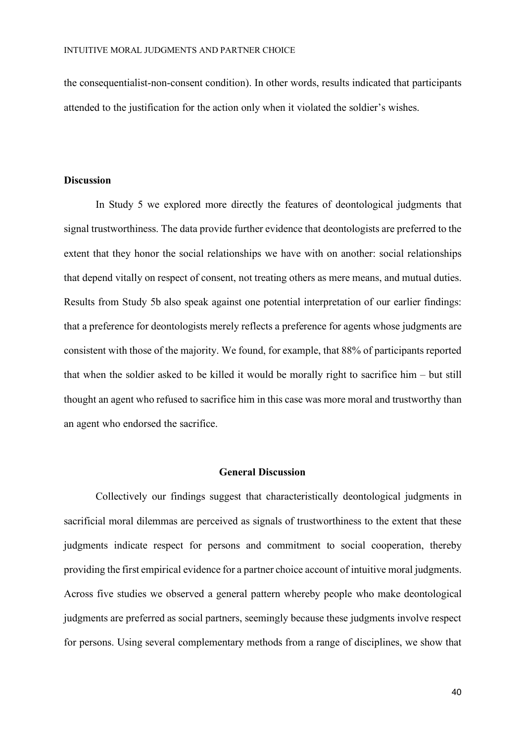the consequentialist-non-consent condition). In other words, results indicated that participants attended to the justification for the action only when it violated the soldier's wishes.

#### **Discussion**

In Study 5 we explored more directly the features of deontological judgments that signal trustworthiness. The data provide further evidence that deontologists are preferred to the extent that they honor the social relationships we have with on another: social relationships that depend vitally on respect of consent, not treating others as mere means, and mutual duties. Results from Study 5b also speak against one potential interpretation of our earlier findings: that a preference for deontologists merely reflects a preference for agents whose judgments are consistent with those of the majority. We found, for example, that 88% of participants reported that when the soldier asked to be killed it would be morally right to sacrifice him – but still thought an agent who refused to sacrifice him in this case was more moral and trustworthy than an agent who endorsed the sacrifice.

#### **General Discussion**

Collectively our findings suggest that characteristically deontological judgments in sacrificial moral dilemmas are perceived as signals of trustworthiness to the extent that these judgments indicate respect for persons and commitment to social cooperation, thereby providing the first empirical evidence for a partner choice account of intuitive moral judgments. Across five studies we observed a general pattern whereby people who make deontological judgments are preferred as social partners, seemingly because these judgments involve respect for persons. Using several complementary methods from a range of disciplines, we show that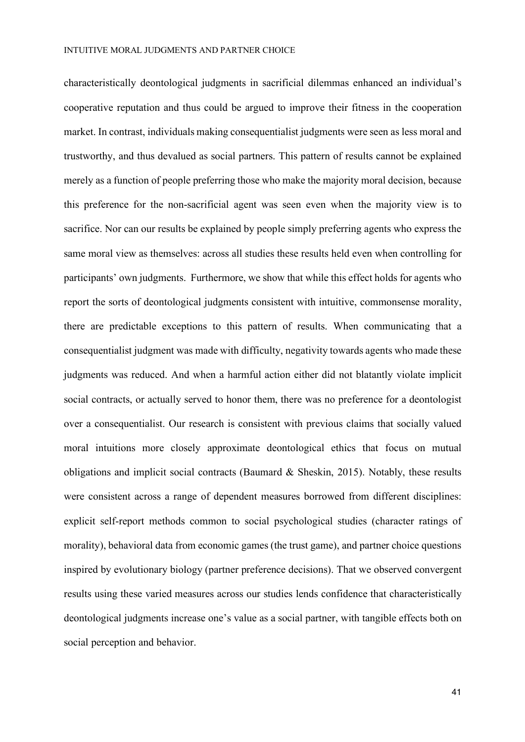characteristically deontological judgments in sacrificial dilemmas enhanced an individual's cooperative reputation and thus could be argued to improve their fitness in the cooperation market. In contrast, individuals making consequentialist judgments were seen as less moral and trustworthy, and thus devalued as social partners. This pattern of results cannot be explained merely as a function of people preferring those who make the majority moral decision, because this preference for the non-sacrificial agent was seen even when the majority view is to sacrifice. Nor can our results be explained by people simply preferring agents who express the same moral view as themselves: across all studies these results held even when controlling for participants' own judgments. Furthermore, we show that while this effect holds for agents who report the sorts of deontological judgments consistent with intuitive, commonsense morality, there are predictable exceptions to this pattern of results. When communicating that a consequentialist judgment was made with difficulty, negativity towards agents who made these judgments was reduced. And when a harmful action either did not blatantly violate implicit social contracts, or actually served to honor them, there was no preference for a deontologist over a consequentialist. Our research is consistent with previous claims that socially valued moral intuitions more closely approximate deontological ethics that focus on mutual obligations and implicit social contracts (Baumard & Sheskin, 2015). Notably, these results were consistent across a range of dependent measures borrowed from different disciplines: explicit self-report methods common to social psychological studies (character ratings of morality), behavioral data from economic games (the trust game), and partner choice questions inspired by evolutionary biology (partner preference decisions). That we observed convergent results using these varied measures across our studies lends confidence that characteristically deontological judgments increase one's value as a social partner, with tangible effects both on social perception and behavior.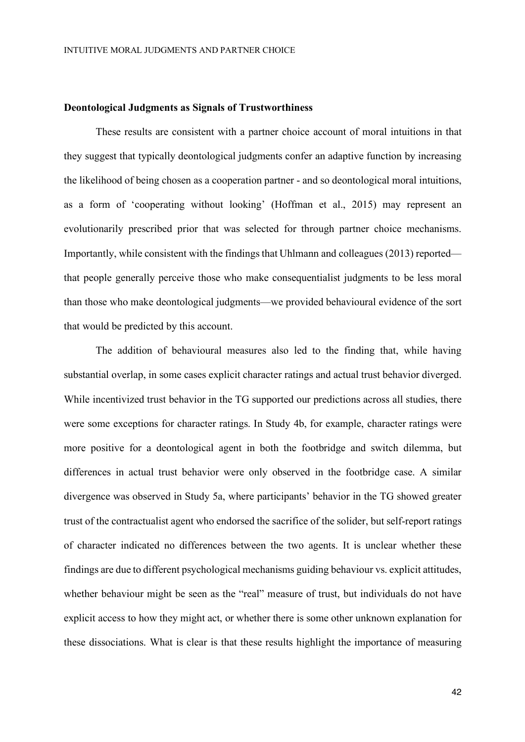#### **Deontological Judgments as Signals of Trustworthiness**

These results are consistent with a partner choice account of moral intuitions in that they suggest that typically deontological judgments confer an adaptive function by increasing the likelihood of being chosen as a cooperation partner - and so deontological moral intuitions, as a form of 'cooperating without looking' (Hoffman et al., 2015) may represent an evolutionarily prescribed prior that was selected for through partner choice mechanisms. Importantly, while consistent with the findings that Uhlmann and colleagues (2013) reported that people generally perceive those who make consequentialist judgments to be less moral than those who make deontological judgments—we provided behavioural evidence of the sort that would be predicted by this account.

The addition of behavioural measures also led to the finding that, while having substantial overlap, in some cases explicit character ratings and actual trust behavior diverged. While incentivized trust behavior in the TG supported our predictions across all studies, there were some exceptions for character ratings. In Study 4b, for example, character ratings were more positive for a deontological agent in both the footbridge and switch dilemma, but differences in actual trust behavior were only observed in the footbridge case. A similar divergence was observed in Study 5a, where participants' behavior in the TG showed greater trust of the contractualist agent who endorsed the sacrifice of the solider, but self-report ratings of character indicated no differences between the two agents. It is unclear whether these findings are due to different psychological mechanisms guiding behaviour vs. explicit attitudes, whether behaviour might be seen as the "real" measure of trust, but individuals do not have explicit access to how they might act, or whether there is some other unknown explanation for these dissociations. What is clear is that these results highlight the importance of measuring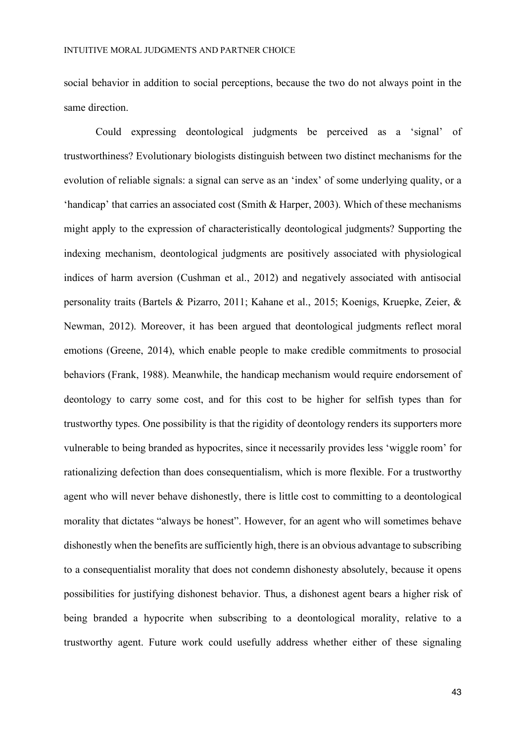social behavior in addition to social perceptions, because the two do not always point in the same direction.

Could expressing deontological judgments be perceived as a 'signal' of trustworthiness? Evolutionary biologists distinguish between two distinct mechanisms for the evolution of reliable signals: a signal can serve as an 'index' of some underlying quality, or a 'handicap' that carries an associated cost (Smith & Harper, 2003). Which of these mechanisms might apply to the expression of characteristically deontological judgments? Supporting the indexing mechanism, deontological judgments are positively associated with physiological indices of harm aversion (Cushman et al., 2012) and negatively associated with antisocial personality traits (Bartels & Pizarro, 2011; Kahane et al., 2015; Koenigs, Kruepke, Zeier, & Newman, 2012). Moreover, it has been argued that deontological judgments reflect moral emotions (Greene, 2014), which enable people to make credible commitments to prosocial behaviors (Frank, 1988). Meanwhile, the handicap mechanism would require endorsement of deontology to carry some cost, and for this cost to be higher for selfish types than for trustworthy types. One possibility is that the rigidity of deontology renders its supporters more vulnerable to being branded as hypocrites, since it necessarily provides less 'wiggle room' for rationalizing defection than does consequentialism, which is more flexible. For a trustworthy agent who will never behave dishonestly, there is little cost to committing to a deontological morality that dictates "always be honest". However, for an agent who will sometimes behave dishonestly when the benefits are sufficiently high, there is an obvious advantage to subscribing to a consequentialist morality that does not condemn dishonesty absolutely, because it opens possibilities for justifying dishonest behavior. Thus, a dishonest agent bears a higher risk of being branded a hypocrite when subscribing to a deontological morality, relative to a trustworthy agent. Future work could usefully address whether either of these signaling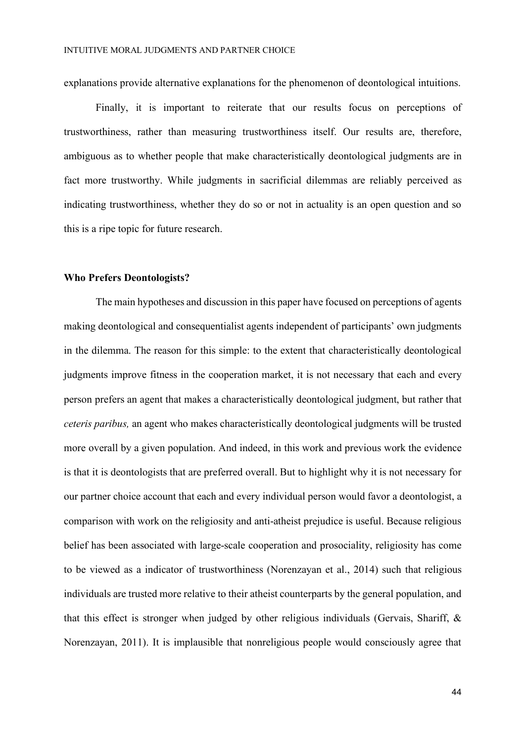explanations provide alternative explanations for the phenomenon of deontological intuitions.

Finally, it is important to reiterate that our results focus on perceptions of trustworthiness, rather than measuring trustworthiness itself. Our results are, therefore, ambiguous as to whether people that make characteristically deontological judgments are in fact more trustworthy. While judgments in sacrificial dilemmas are reliably perceived as indicating trustworthiness, whether they do so or not in actuality is an open question and so this is a ripe topic for future research.

#### **Who Prefers Deontologists?**

The main hypotheses and discussion in this paper have focused on perceptions of agents making deontological and consequentialist agents independent of participants' own judgments in the dilemma. The reason for this simple: to the extent that characteristically deontological judgments improve fitness in the cooperation market, it is not necessary that each and every person prefers an agent that makes a characteristically deontological judgment, but rather that *ceteris paribus,* an agent who makes characteristically deontological judgments will be trusted more overall by a given population. And indeed, in this work and previous work the evidence is that it is deontologists that are preferred overall. But to highlight why it is not necessary for our partner choice account that each and every individual person would favor a deontologist, a comparison with work on the religiosity and anti-atheist prejudice is useful. Because religious belief has been associated with large-scale cooperation and prosociality, religiosity has come to be viewed as a indicator of trustworthiness (Norenzayan et al., 2014) such that religious individuals are trusted more relative to their atheist counterparts by the general population, and that this effect is stronger when judged by other religious individuals (Gervais, Shariff, & Norenzayan, 2011). It is implausible that nonreligious people would consciously agree that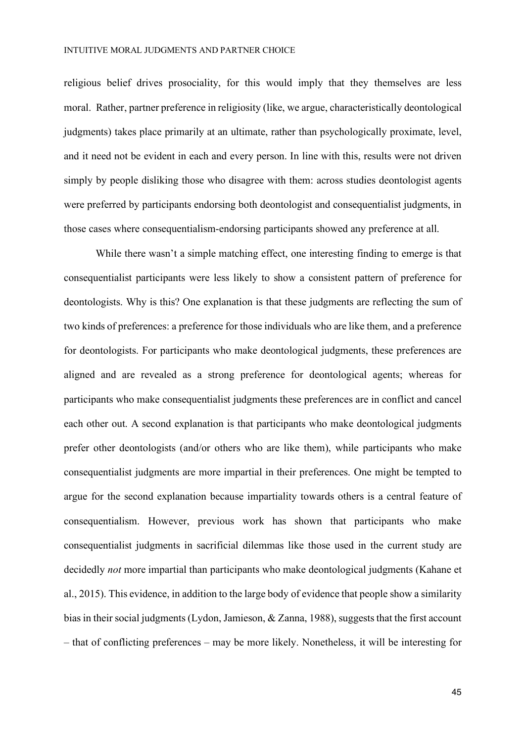religious belief drives prosociality, for this would imply that they themselves are less moral. Rather, partner preference in religiosity (like, we argue, characteristically deontological judgments) takes place primarily at an ultimate, rather than psychologically proximate, level, and it need not be evident in each and every person. In line with this, results were not driven simply by people disliking those who disagree with them: across studies deontologist agents were preferred by participants endorsing both deontologist and consequentialist judgments, in those cases where consequentialism-endorsing participants showed any preference at all.

While there wasn't a simple matching effect, one interesting finding to emerge is that consequentialist participants were less likely to show a consistent pattern of preference for deontologists. Why is this? One explanation is that these judgments are reflecting the sum of two kinds of preferences: a preference for those individuals who are like them, and a preference for deontologists. For participants who make deontological judgments, these preferences are aligned and are revealed as a strong preference for deontological agents; whereas for participants who make consequentialist judgments these preferences are in conflict and cancel each other out. A second explanation is that participants who make deontological judgments prefer other deontologists (and/or others who are like them), while participants who make consequentialist judgments are more impartial in their preferences. One might be tempted to argue for the second explanation because impartiality towards others is a central feature of consequentialism. However, previous work has shown that participants who make consequentialist judgments in sacrificial dilemmas like those used in the current study are decidedly *not* more impartial than participants who make deontological judgments (Kahane et al., 2015). This evidence, in addition to the large body of evidence that people show a similarity bias in their social judgments (Lydon, Jamieson, & Zanna, 1988), suggests that the first account – that of conflicting preferences – may be more likely. Nonetheless, it will be interesting for

45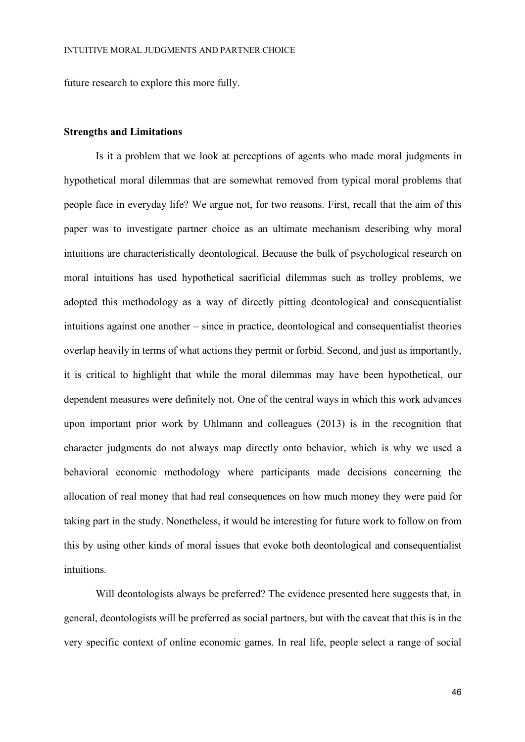future research to explore this more fully.

#### **Strengths and Limitations**

Is it a problem that we look at perceptions of agents who made moral judgments in hypothetical moral dilemmas that are somewhat removed from typical moral problems that people face in everyday life? We argue not, for two reasons. First, recall that the aim of this paper was to investigate partner choice as an ultimate mechanism describing why moral intuitions are characteristically deontological. Because the bulk of psychological research on moral intuitions has used hypothetical sacrificial dilemmas such as trolley problems, we adopted this methodology as a way of directly pitting deontological and consequentialist intuitions against one another – since in practice, deontological and consequentialist theories overlap heavily in terms of what actions they permit or forbid. Second, and just as importantly, it is critical to highlight that while the moral dilemmas may have been hypothetical, our dependent measures were definitely not. One of the central ways in which this work advances upon important prior work by Uhlmann and colleagues (2013) is in the recognition that character judgments do not always map directly onto behavior, which is why we used a behavioral economic methodology where participants made decisions concerning the allocation of real money that had real consequences on how much money they were paid for taking part in the study. Nonetheless, it would be interesting for future work to follow on from this by using other kinds of moral issues that evoke both deontological and consequentialist intuitions.

Will deontologists always be preferred? The evidence presented here suggests that, in general, deontologists will be preferred as social partners, but with the caveat that this is in the very specific context of online economic games. In real life, people select a range of social

46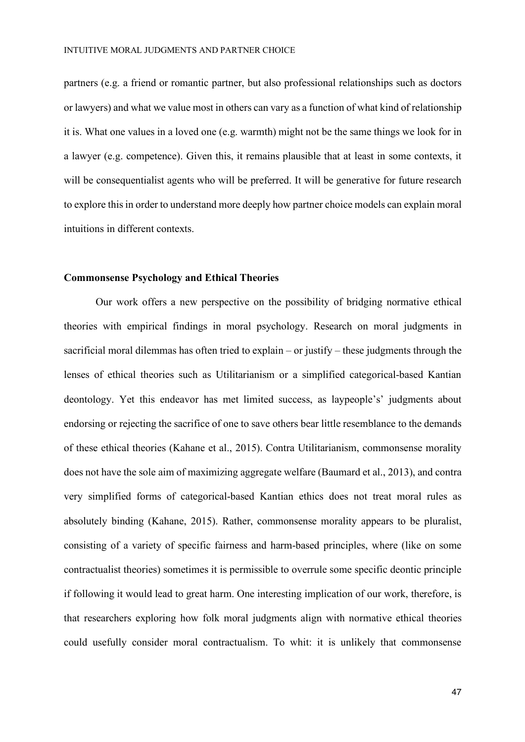partners (e.g. a friend or romantic partner, but also professional relationships such as doctors or lawyers) and what we value most in others can vary as a function of what kind of relationship it is. What one values in a loved one (e.g. warmth) might not be the same things we look for in a lawyer (e.g. competence). Given this, it remains plausible that at least in some contexts, it will be consequentialist agents who will be preferred. It will be generative for future research to explore this in order to understand more deeply how partner choice models can explain moral intuitions in different contexts.

#### **Commonsense Psychology and Ethical Theories**

Our work offers a new perspective on the possibility of bridging normative ethical theories with empirical findings in moral psychology. Research on moral judgments in sacrificial moral dilemmas has often tried to explain – or justify – these judgments through the lenses of ethical theories such as Utilitarianism or a simplified categorical-based Kantian deontology. Yet this endeavor has met limited success, as laypeople's' judgments about endorsing or rejecting the sacrifice of one to save others bear little resemblance to the demands of these ethical theories (Kahane et al., 2015). Contra Utilitarianism, commonsense morality does not have the sole aim of maximizing aggregate welfare (Baumard et al., 2013), and contra very simplified forms of categorical-based Kantian ethics does not treat moral rules as absolutely binding (Kahane, 2015). Rather, commonsense morality appears to be pluralist, consisting of a variety of specific fairness and harm-based principles, where (like on some contractualist theories) sometimes it is permissible to overrule some specific deontic principle if following it would lead to great harm. One interesting implication of our work, therefore, is that researchers exploring how folk moral judgments align with normative ethical theories could usefully consider moral contractualism. To whit: it is unlikely that commonsense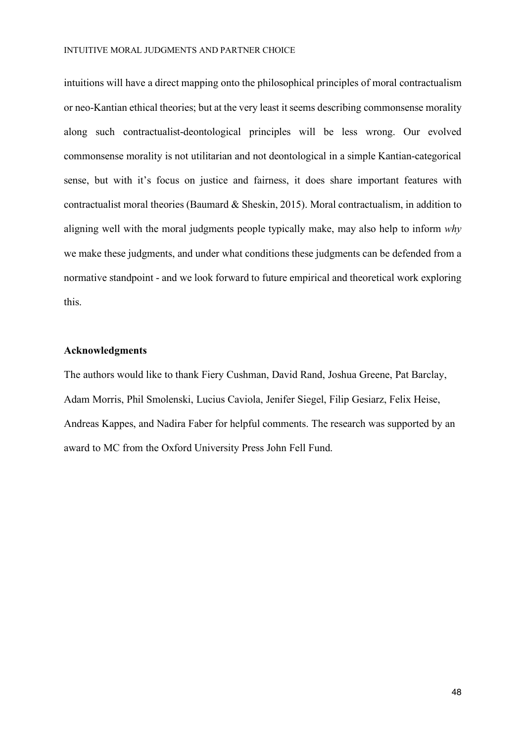intuitions will have a direct mapping onto the philosophical principles of moral contractualism or neo-Kantian ethical theories; but at the very least it seems describing commonsense morality along such contractualist-deontological principles will be less wrong. Our evolved commonsense morality is not utilitarian and not deontological in a simple Kantian-categorical sense, but with it's focus on justice and fairness, it does share important features with contractualist moral theories (Baumard & Sheskin, 2015). Moral contractualism, in addition to aligning well with the moral judgments people typically make, may also help to inform *why* we make these judgments, and under what conditions these judgments can be defended from a normative standpoint - and we look forward to future empirical and theoretical work exploring this.

#### **Acknowledgments**

The authors would like to thank Fiery Cushman, David Rand, Joshua Greene, Pat Barclay, Adam Morris, Phil Smolenski, Lucius Caviola, Jenifer Siegel, Filip Gesiarz, Felix Heise, Andreas Kappes, and Nadira Faber for helpful comments. The research was supported by an award to MC from the Oxford University Press John Fell Fund.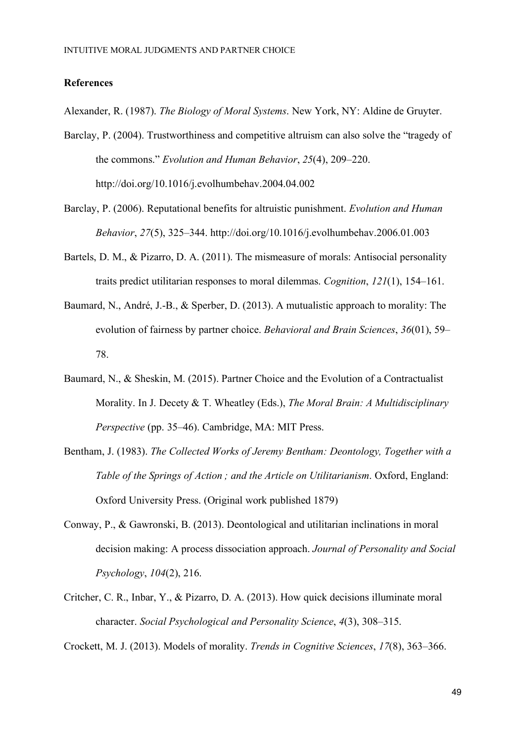#### **References**

Alexander, R. (1987). *The Biology of Moral Systems*. New York, NY: Aldine de Gruyter.

- Barclay, P. (2004). Trustworthiness and competitive altruism can also solve the "tragedy of the commons." *Evolution and Human Behavior*, *25*(4), 209–220. http://doi.org/10.1016/j.evolhumbehav.2004.04.002
- Barclay, P. (2006). Reputational benefits for altruistic punishment. *Evolution and Human Behavior*, *27*(5), 325–344. http://doi.org/10.1016/j.evolhumbehav.2006.01.003
- Bartels, D. M., & Pizarro, D. A. (2011). The mismeasure of morals: Antisocial personality traits predict utilitarian responses to moral dilemmas. *Cognition*, *121*(1), 154–161.
- Baumard, N., André, J.-B., & Sperber, D. (2013). A mutualistic approach to morality: The evolution of fairness by partner choice. *Behavioral and Brain Sciences*, *36*(01), 59– 78.
- Baumard, N., & Sheskin, M. (2015). Partner Choice and the Evolution of a Contractualist Morality. In J. Decety & T. Wheatley (Eds.), *The Moral Brain: A Multidisciplinary Perspective* (pp. 35–46). Cambridge, MA: MIT Press.
- Bentham, J. (1983). *The Collected Works of Jeremy Bentham: Deontology, Together with a Table of the Springs of Action ; and the Article on Utilitarianism*. Oxford, England: Oxford University Press. (Original work published 1879)
- Conway, P., & Gawronski, B. (2013). Deontological and utilitarian inclinations in moral decision making: A process dissociation approach. *Journal of Personality and Social Psychology*, *104*(2), 216.
- Critcher, C. R., Inbar, Y., & Pizarro, D. A. (2013). How quick decisions illuminate moral character. *Social Psychological and Personality Science*, *4*(3), 308–315.

Crockett, M. J. (2013). Models of morality. *Trends in Cognitive Sciences*, *17*(8), 363–366.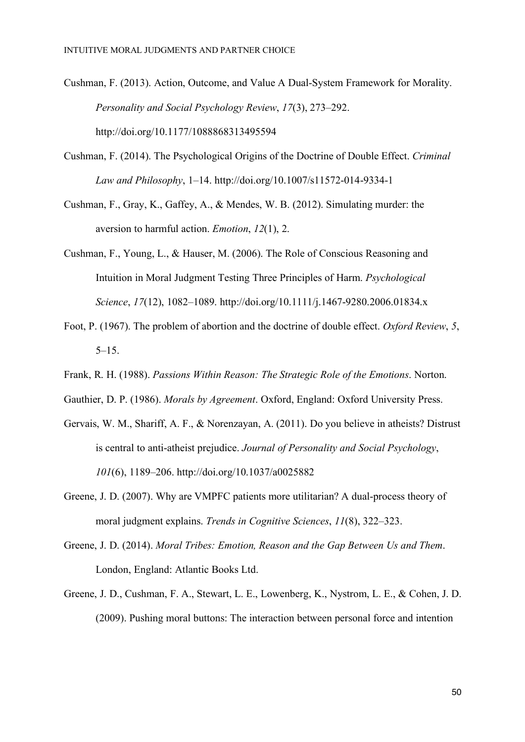Cushman, F. (2013). Action, Outcome, and Value A Dual-System Framework for Morality. *Personality and Social Psychology Review*, *17*(3), 273–292. http://doi.org/10.1177/1088868313495594

- Cushman, F. (2014). The Psychological Origins of the Doctrine of Double Effect. *Criminal Law and Philosophy*, 1–14. http://doi.org/10.1007/s11572-014-9334-1
- Cushman, F., Gray, K., Gaffey, A., & Mendes, W. B. (2012). Simulating murder: the aversion to harmful action. *Emotion*, *12*(1), 2.
- Cushman, F., Young, L., & Hauser, M. (2006). The Role of Conscious Reasoning and Intuition in Moral Judgment Testing Three Principles of Harm. *Psychological Science*, *17*(12), 1082–1089. http://doi.org/10.1111/j.1467-9280.2006.01834.x
- Foot, P. (1967). The problem of abortion and the doctrine of double effect. *Oxford Review*, *5*, 5–15.
- Frank, R. H. (1988). *Passions Within Reason: The Strategic Role of the Emotions*. Norton.
- Gauthier, D. P. (1986). *Morals by Agreement*. Oxford, England: Oxford University Press.
- Gervais, W. M., Shariff, A. F., & Norenzayan, A. (2011). Do you believe in atheists? Distrust is central to anti-atheist prejudice. *Journal of Personality and Social Psychology*, *101*(6), 1189–206. http://doi.org/10.1037/a0025882
- Greene, J. D. (2007). Why are VMPFC patients more utilitarian? A dual-process theory of moral judgment explains. *Trends in Cognitive Sciences*, *11*(8), 322–323.
- Greene, J. D. (2014). *Moral Tribes: Emotion, Reason and the Gap Between Us and Them*. London, England: Atlantic Books Ltd.
- Greene, J. D., Cushman, F. A., Stewart, L. E., Lowenberg, K., Nystrom, L. E., & Cohen, J. D. (2009). Pushing moral buttons: The interaction between personal force and intention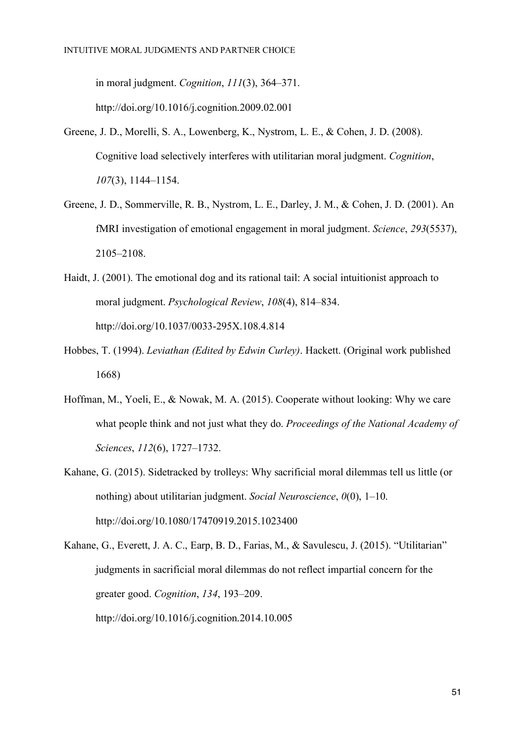in moral judgment. *Cognition*, *111*(3), 364–371.

http://doi.org/10.1016/j.cognition.2009.02.001

- Greene, J. D., Morelli, S. A., Lowenberg, K., Nystrom, L. E., & Cohen, J. D. (2008). Cognitive load selectively interferes with utilitarian moral judgment. *Cognition*, *107*(3), 1144–1154.
- Greene, J. D., Sommerville, R. B., Nystrom, L. E., Darley, J. M., & Cohen, J. D. (2001). An fMRI investigation of emotional engagement in moral judgment. *Science*, *293*(5537), 2105–2108.
- Haidt, J. (2001). The emotional dog and its rational tail: A social intuitionist approach to moral judgment. *Psychological Review*, *108*(4), 814–834. http://doi.org/10.1037/0033-295X.108.4.814
- Hobbes, T. (1994). *Leviathan (Edited by Edwin Curley)*. Hackett. (Original work published 1668)
- Hoffman, M., Yoeli, E., & Nowak, M. A. (2015). Cooperate without looking: Why we care what people think and not just what they do. *Proceedings of the National Academy of Sciences*, *112*(6), 1727–1732.
- Kahane, G. (2015). Sidetracked by trolleys: Why sacrificial moral dilemmas tell us little (or nothing) about utilitarian judgment. *Social Neuroscience*, *0*(0), 1–10. http://doi.org/10.1080/17470919.2015.1023400

Kahane, G., Everett, J. A. C., Earp, B. D., Farias, M., & Savulescu, J. (2015). "Utilitarian" judgments in sacrificial moral dilemmas do not reflect impartial concern for the greater good. *Cognition*, *134*, 193–209. http://doi.org/10.1016/j.cognition.2014.10.005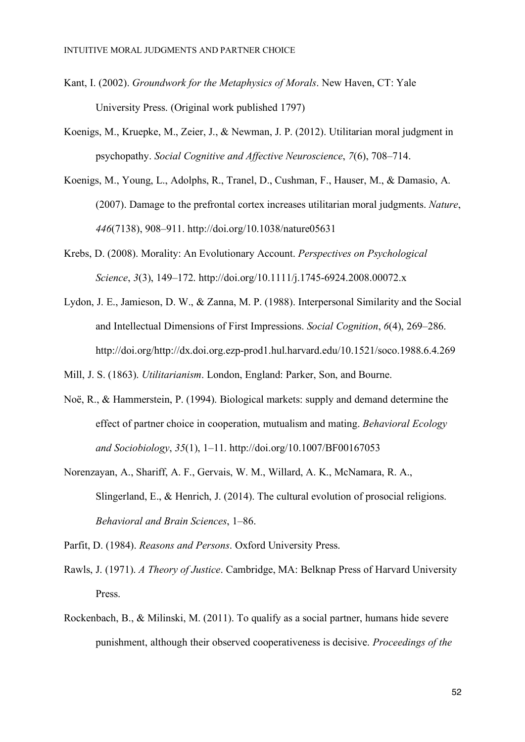- Kant, I. (2002). *Groundwork for the Metaphysics of Morals*. New Haven, CT: Yale University Press. (Original work published 1797)
- Koenigs, M., Kruepke, M., Zeier, J., & Newman, J. P. (2012). Utilitarian moral judgment in psychopathy. *Social Cognitive and Affective Neuroscience*, *7*(6), 708–714.
- Koenigs, M., Young, L., Adolphs, R., Tranel, D., Cushman, F., Hauser, M., & Damasio, A. (2007). Damage to the prefrontal cortex increases utilitarian moral judgments. *Nature*, *446*(7138), 908–911. http://doi.org/10.1038/nature05631
- Krebs, D. (2008). Morality: An Evolutionary Account. *Perspectives on Psychological Science*, *3*(3), 149–172. http://doi.org/10.1111/j.1745-6924.2008.00072.x
- Lydon, J. E., Jamieson, D. W., & Zanna, M. P. (1988). Interpersonal Similarity and the Social and Intellectual Dimensions of First Impressions. *Social Cognition*, *6*(4), 269–286. http://doi.org/http://dx.doi.org.ezp-prod1.hul.harvard.edu/10.1521/soco.1988.6.4.269

Mill, J. S. (1863). *Utilitarianism*. London, England: Parker, Son, and Bourne.

- Noë, R., & Hammerstein, P. (1994). Biological markets: supply and demand determine the effect of partner choice in cooperation, mutualism and mating. *Behavioral Ecology and Sociobiology*, *35*(1), 1–11. http://doi.org/10.1007/BF00167053
- Norenzayan, A., Shariff, A. F., Gervais, W. M., Willard, A. K., McNamara, R. A., Slingerland, E., & Henrich, J. (2014). The cultural evolution of prosocial religions. *Behavioral and Brain Sciences*, 1–86.

Parfit, D. (1984). *Reasons and Persons*. Oxford University Press.

- Rawls, J. (1971). *A Theory of Justice*. Cambridge, MA: Belknap Press of Harvard University Press.
- Rockenbach, B., & Milinski, M. (2011). To qualify as a social partner, humans hide severe punishment, although their observed cooperativeness is decisive. *Proceedings of the*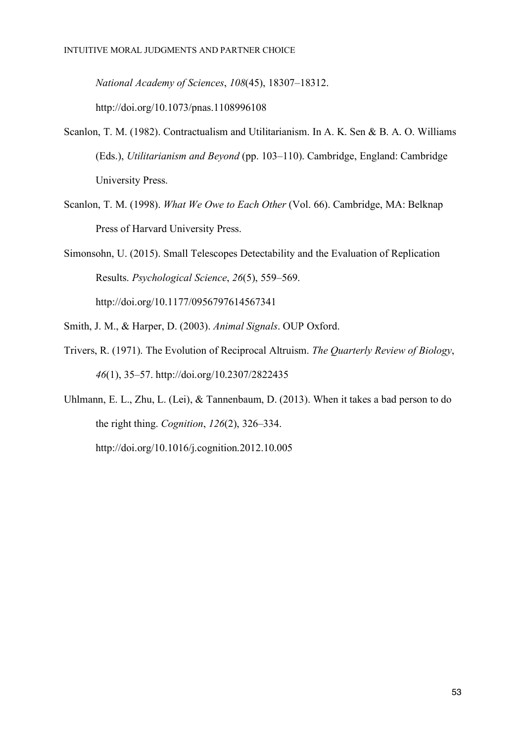*National Academy of Sciences*, *108*(45), 18307–18312.

http://doi.org/10.1073/pnas.1108996108

- Scanlon, T. M. (1982). Contractualism and Utilitarianism. In A. K. Sen & B. A. O. Williams (Eds.), *Utilitarianism and Beyond* (pp. 103–110). Cambridge, England: Cambridge University Press.
- Scanlon, T. M. (1998). *What We Owe to Each Other* (Vol. 66). Cambridge, MA: Belknap Press of Harvard University Press.
- Simonsohn, U. (2015). Small Telescopes Detectability and the Evaluation of Replication Results. *Psychological Science*, *26*(5), 559–569. http://doi.org/10.1177/0956797614567341
- Smith, J. M., & Harper, D. (2003). *Animal Signals*. OUP Oxford.
- Trivers, R. (1971). The Evolution of Reciprocal Altruism. *The Quarterly Review of Biology*, *46*(1), 35–57. http://doi.org/10.2307/2822435
- Uhlmann, E. L., Zhu, L. (Lei), & Tannenbaum, D. (2013). When it takes a bad person to do the right thing. *Cognition*, *126*(2), 326–334. http://doi.org/10.1016/j.cognition.2012.10.005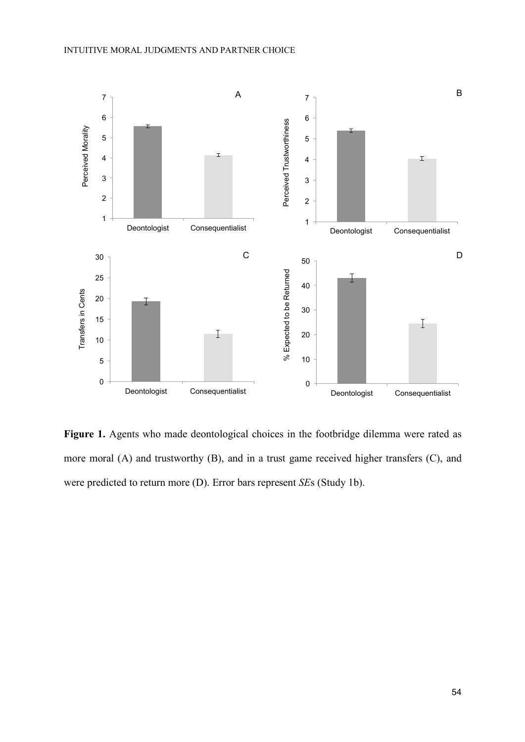

Figure 1. Agents who made deontological choices in the footbridge dilemma were rated as more moral (A) and trustworthy (B), and in a trust game received higher transfers (C), and were predicted to return more (D). Error bars represent *SE*s (Study 1b).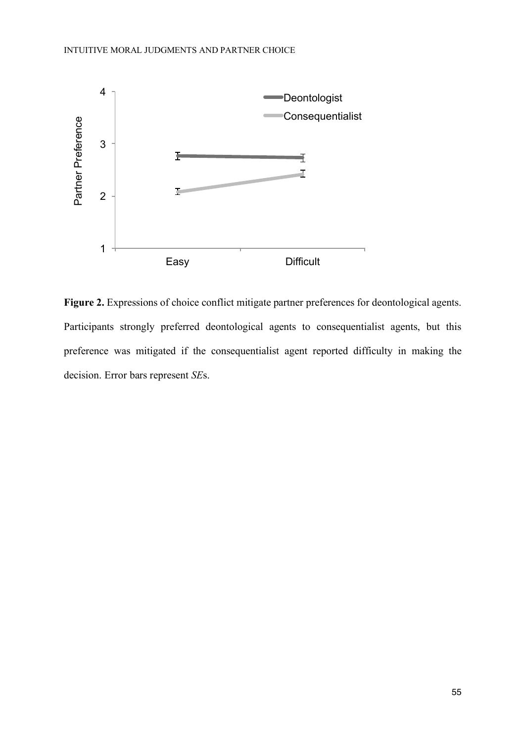

**Figure 2.** Expressions of choice conflict mitigate partner preferences for deontological agents. Participants strongly preferred deontological agents to consequentialist agents, but this preference was mitigated if the consequentialist agent reported difficulty in making the decision. Error bars represent *SE*s.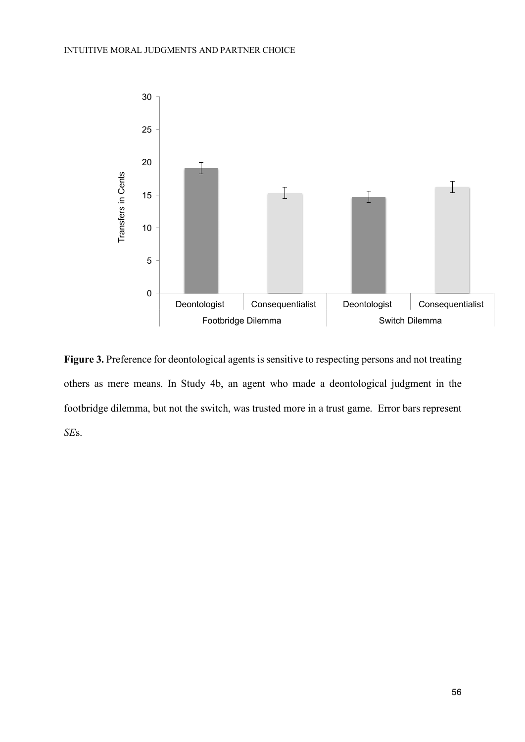

**Figure 3.** Preference for deontological agents is sensitive to respecting persons and not treating others as mere means. In Study 4b, an agent who made a deontological judgment in the footbridge dilemma, but not the switch, was trusted more in a trust game. Error bars represent *SE*s.